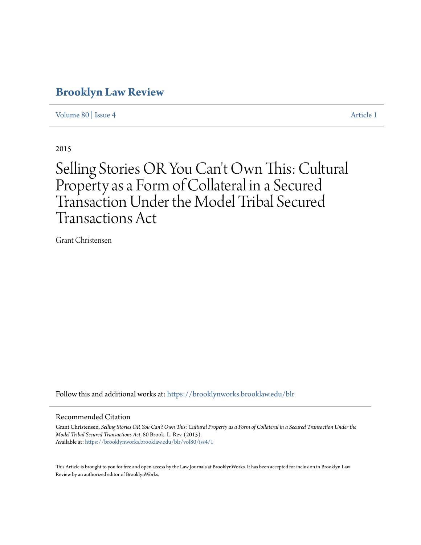## **[Brooklyn Law Review](https://brooklynworks.brooklaw.edu/blr?utm_source=brooklynworks.brooklaw.edu%2Fblr%2Fvol80%2Fiss4%2F1&utm_medium=PDF&utm_campaign=PDFCoverPages)**

[Volume 80](https://brooklynworks.brooklaw.edu/blr/vol80?utm_source=brooklynworks.brooklaw.edu%2Fblr%2Fvol80%2Fiss4%2F1&utm_medium=PDF&utm_campaign=PDFCoverPages) | [Issue 4](https://brooklynworks.brooklaw.edu/blr/vol80/iss4?utm_source=brooklynworks.brooklaw.edu%2Fblr%2Fvol80%2Fiss4%2F1&utm_medium=PDF&utm_campaign=PDFCoverPages) [Article 1](https://brooklynworks.brooklaw.edu/blr/vol80/iss4/1?utm_source=brooklynworks.brooklaw.edu%2Fblr%2Fvol80%2Fiss4%2F1&utm_medium=PDF&utm_campaign=PDFCoverPages)

2015

# Selling Stories OR You Can 't Own This: Cultural Property as a Form of Collateral in a Secured Transaction Under the Model Tribal Secured Transactions Act

Grant Christensen

Follow this and additional works at: [https://brooklynworks.brooklaw.edu/blr](https://brooklynworks.brooklaw.edu/blr?utm_source=brooklynworks.brooklaw.edu%2Fblr%2Fvol80%2Fiss4%2F1&utm_medium=PDF&utm_campaign=PDFCoverPages)

#### Recommended Citation

Grant Christensen, *Selling Stories OR You Can't Own This: Cultural Property as a Form of Collateral in a Secured Transaction Under the Model Tribal Secured Transactions Act*, 80 Brook. L. Rev. (2015). Available at: [https://brooklynworks.brooklaw.edu/blr/vol80/iss4/1](https://brooklynworks.brooklaw.edu/blr/vol80/iss4/1?utm_source=brooklynworks.brooklaw.edu%2Fblr%2Fvol80%2Fiss4%2F1&utm_medium=PDF&utm_campaign=PDFCoverPages)

This Article is brought to you for free and open access by the Law Journals at BrooklynWorks. It has been accepted for inclusion in Brooklyn Law Review by an authorized editor of BrooklynWorks.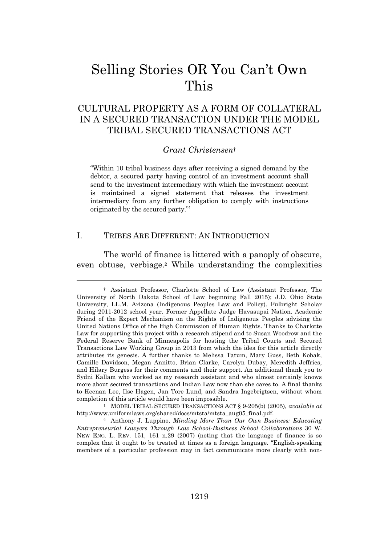## Selling Stories OR You Can't Own This

## CULTURAL PROPERTY AS A FORM OF COLLATERAL IN A SECURED TRANSACTION UNDER THE MODEL TRIBAL SECURED TRANSACTIONS ACT

#### *Grant Christensen*†

"Within 10 tribal business days after receiving a signed demand by the debtor, a secured party having control of an investment account shall send to the investment intermediary with which the investment account is maintained a signed statement that releases the investment intermediary from any further obligation to comply with instructions originated by the secured party." 1

## I. TRIBES ARE DIFFERENT: AN INTRODUCTION

The world of finance is littered with a panoply of obscure, even obtuse, verbiage.<sup>2</sup> While understanding the complexities

<sup>†</sup> Assistant Professor, Charlotte School of Law (Assistant Professor, The University of North Dakota School of Law beginning Fall 2015); J.D. Ohio State University, LL.M. Arizona (Indigenous Peoples Law and Policy). Fulbright Scholar during 2011-2012 school year. Former Appellate Judge Havasupai Nation. Academic Friend of the Expert Mechanism on the Rights of Indigenous Peoples advising the United Nations Office of the High Commission of Human Rights. Thanks to Charlotte Law for supporting this project with a research stipend and to Susan Woodrow and the Federal Reserve Bank of Minneapolis for hosting the Tribal Courts and Secured Transactions Law Working Group in 2013 from which the idea for this article directly attributes its genesis. A further thanks to Melissa Tatum, Mary Guss, Beth Kobak, Camille Davidson, Megan Annitto, Brian Clarke, Carolyn Dubay, Meredith Jeffries, and Hilary Burgess for their comments and their support. An additional thank you to Sydni Kallam who worked as my research assistant and who almost certainly knows more about secured transactions and Indian Law now than she cares to. A final thanks to Keenan Lee, Ilse Hagen, Jan Tore Lund, and Sandra Ingebrigtsen, without whom completion of this article would have been impossible.

<sup>1</sup> MODEL TRIBAL SECURED TRANSACTIONS ACT § 9-205(b) (2005), *available at* http://www.uniformlaws.org/shared/docs/mtsta/mtsta\_aug05\_final.pdf.

<sup>2</sup> Anthony J. Luppino, *Minding More Than Our Own Business: Educating Entrepreneurial Lawyers Through Law School-Business School Collaborations* 30 W. NEW ENG. L. REV. 151, 161 n.29 (2007) (noting that the language of finance is so complex that it ought to be treated at times as a foreign language. "English-speaking members of a particular profession may in fact communicate more clearly with non-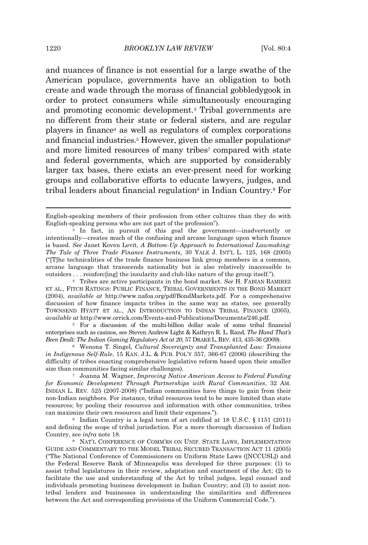and nuances of finance is not essential for a large swathe of the American populace, governments have an obligation to both create and wade through the morass of financial gobbledygook in order to protect consumers while simultaneously encouraging and promoting economic development.<sup>3</sup> Tribal governments are no different from their state or federal sisters, and are regular players in finance<sup>4</sup> as well as regulators of complex corporations and financial industries.<sup>5</sup> However, given the smaller populations<sup>6</sup> and more limited resources of many tribes<sup>7</sup> compared with state and federal governments, which are supported by considerably larger tax bases, there exists an ever-present need for working groups and collaborative efforts to educate lawyers, judges, and tribal leaders about financial regulation<sup>8</sup> in Indian Country.<sup>9</sup> For

<sup>4</sup> Tribes are active participants in the bond market. *See* H. FABIAN RAMIREZ ET AL., FITCH RATINGS: PUBLIC FINANCE, TRIBAL GOVERNMENTS IN THE BOND MARKET (2004), *available at* http://www.nafoa.org/pdf/BondMarkets.pdf. For a comprehensive discussion of how finance impacts tribes in the same way as states, see generally TOWNSEND HYATT ET AL., AN INTRODUCTION TO INDIAN TRIBAL FINANCE (2005), *available at* http://www.orrick.com/Events-and-Publications/Documents/246.pdf.

<sup>5</sup> For a discussion of the multi-billion dollar scale of some tribal financial enterprises such as casinos, see Steven Andrew Light & Kathryn R. L. Rand, *The Hand That's Been Dealt: The Indian Gaming Regulatory Act at 20*, 57 DRAKE L. REV. 413, 435-36 (2009).

<sup>6</sup> Wenona T. Singel, *Cultural Sovereignty and Transplanted Law: Tensions in Indigenous Self-Rule*, 15 KAN. J.L. & PUB. POL'Y 357, 366-67 (2006) (describing the difficulty of tribes enacting comprehensive legislative reform based upon their smaller size than communities facing similar challenges).

<sup>7</sup> Joanna M. Wagner, *Improving Native American Access to Federal Funding for Economic Development Through Partnerships with Rural Communities*, 32 AM. INDIAN L. REV. 525 (2007-2008) ("Indian communities have things to gain from their non-Indian neighbors. For instance, tribal resources tend to be more limited than state resources; by pooling their resources and information with other communities, tribes can maximize their own resources and limit their expenses.").

<sup>8</sup> Indian Country is a legal term of art codified at 18 U.S.C. § 1151 (2011) and defining the scope of tribal jurisdiction. For a more thorough discussion of Indian Country, see *infra* note 18.

<sup>9</sup> NAT'L CONFERENCE OF COMM'RS ON UNIF. STATE LAWS, IMPLEMENTATION GUIDE AND COMMENTARY TO THE MODEL TRIBAL SECURED TRANSACTION ACT 11 (2005) ("The National Conference of Commissioners on Uniform State Laws ([NCCUSL]) and the Federal Reserve Bank of Minneapolis was developed for three purposes: (1) to assist tribal legislatures in their review, adaptation and enactment of the Act; (2) to facilitate the use and understanding of the Act by tribal judges, legal counsel and individuals promoting business development in Indian Country; and (3) to assist nontribal lenders and businesses in understanding the similarities and differences between the Act and corresponding provisions of the Uniform Commercial Code.").

English-speaking members of their profession from other cultures than they do with English-speaking persons who are not part of the profession").

<sup>3</sup> In fact, in pursuit of this goal the government—inadvertently or intentionally—creates much of the confusing and arcane language upon which finance is based. *See* Janet Koven Levit, *A Bottom-Up Approach to International Lawmaking: The Tale of Three Trade Finance Instruments*, 30 YALE J. INT'L L. 125, 168 (2005) ("[T]he technicalities of the trade finance business link group members in a common, arcane language that transcends nationality but is also relatively inaccessible to outsiders . . . reinforc[ing] the insularity and club-like nature of the group itself.").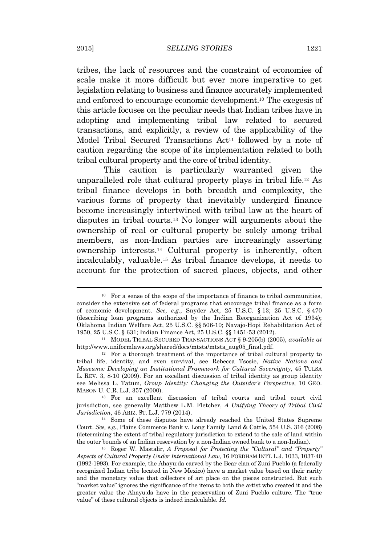tribes, the lack of resources and the constraint of economies of scale make it more difficult but ever more imperative to get legislation relating to business and finance accurately implemented and enforced to encourage economic development.<sup>10</sup> The exegesis of this article focuses on the peculiar needs that Indian tribes have in adopting and implementing tribal law related to secured transactions, and explicitly, a review of the applicability of the Model Tribal Secured Transactions Act<sup>11</sup> followed by a note of caution regarding the scope of its implementation related to both tribal cultural property and the core of tribal identity.

This caution is particularly warranted given the unparalleled role that cultural property plays in tribal life.<sup>12</sup> As tribal finance develops in both breadth and complexity, the various forms of property that inevitably undergird finance become increasingly intertwined with tribal law at the heart of disputes in tribal courts.<sup>13</sup> No longer will arguments about the ownership of real or cultural property be solely among tribal members, as non-Indian parties are increasingly asserting ownership interests.<sup>14</sup> Cultural property is inherently, often incalculably, valuable.<sup>15</sup> As tribal finance develops, it needs to account for the protection of sacred places, objects, and other

 $10$  For a sense of the scope of the importance of finance to tribal communities, consider the extensive set of federal programs that encourage tribal finance as a form of economic development. *See, e.g.*, Snyder Act, 25 U.S.C. § 13; 25 U.S.C. § 470 (describing loan programs authorized by the Indian Reorganization Act of 1934); Oklahoma Indian Welfare Act, 25 U.S.C. §§ 506-10; Navajo-Hopi Rehabilitation Act of 1950, 25 U.S.C. § 631; Indian Finance Act, 25 U.S.C. §§ 1451-53 (2012).

<sup>11</sup> MODEL TRIBAL SECURED TRANSACTIONS ACT § 9-205(b) (2005), *available at* http://www.uniformlaws.org/shared/docs/mtsta/mtsta\_aug05\_final.pdf.

<sup>12</sup> For a thorough treatment of the importance of tribal cultural property to tribal life, identity, and even survival, see Rebecca Tsosie, *Native Nations and Museums: Developing an Institutional Framework for Cultural Sovereignty*, 45 TULSA L. REV. 3, 8-10 (2009). For an excellent discussion of tribal identity as group identity see Melissa L. Tatum, *Group Identity: Changing the Outsider's Perspective*, 10 GEO. MASON U. C.R. L.J. 357 (2000).

<sup>13</sup> For an excellent discussion of tribal courts and tribal court civil jurisdiction, see generally Matthew L.M. Fletcher, *A Unifying Theory of Tribal Civil Jurisdiction*, 46 ARIZ. ST. L.J. 779 (2014).

<sup>14</sup> Some of these disputes have already reached the United States Supreme Court. *See, e.g.*, Plains Commerce Bank v. Long Family Land & Cattle, 554 U.S. 316 (2008) (determining the extent of tribal regulatory jurisdiction to extend to the sale of land within the outer bounds of an Indian reservation by a non-Indian owned bank to a non-Indian).

<sup>15</sup> Roger W. Mastalir, *A Proposal for Protecting the "Cultural" and "Property" Aspects of Cultural Property Under International Law*, 16 FORDHAM INT'L L.J. 1033, 1037-40 (1992-1993). For example, the Ahayu:da carved by the Bear clan of Zuni Pueblo (a federally recognized Indian tribe located in New Mexico) have a market value based on their rarity and the monetary value that collectors of art place on the pieces constructed. But such "market value" ignores the significance of the items to both the artist who created it and the greater value the Ahayu:da have in the preservation of Zuni Pueblo culture. The "true value" of these cultural objects is indeed incalculable. *Id.*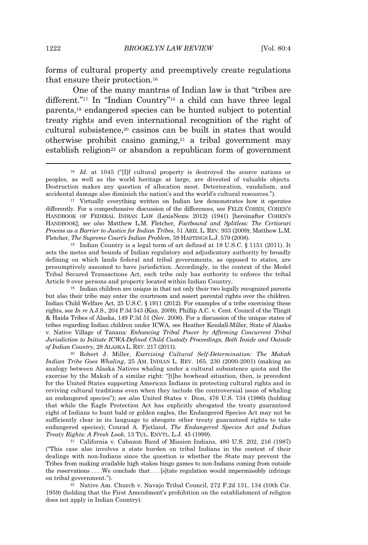forms of cultural property and preemptively create regulations that ensure their protection.<sup>16</sup>

One of the many mantras of Indian law is that "tribes are different."<sup>17</sup> In "Indian Country"<sup>18</sup> a child can have three legal parents,<sup>19</sup> endangered species can be hunted subject to potential treaty rights and even international recognition of the right of cultural subsistence,<sup>20</sup> casinos can be built in states that would otherwise prohibit casino gaming,<sup>21</sup> a tribal government may establish religion<sup>22</sup> or abandon a republican form of government

<sup>18</sup> Indian Country is a legal term of art defined at 18 U.S.C.  $\S$  1151 (2011). It sets the metes and bounds of Indian regulatory and adjudicatory authority by broadly defining on which lands federal and tribal governments, as opposed to states, are presumptively assumed to have jurisdiction. Accordingly, in the context of the Model Tribal Secured Transactions Act, each tribe only has authority to enforce the tribal Article 9 over persons and property located within Indian Country.

<sup>19</sup> Indian children are unique in that not only their two legally recognized parents but also their tribe may enter the courtroom and assert parental rights over the children. Indian Child Welfare Act, 25 U.S.C. § 1911 (2012). For examples of a tribe exercising these rights, see *In re* A.J.S., 204 P.3d 543 (Kan. 2009); Phillip A.C. v. Cent. Council of the Tlingit & Haida Tribes of Alaska, 149 P.3d 51 (Nev. 2006). For a discussion of the unique states of tribes regarding Indian children under ICWA, see Heather Kendall-Miller, State of Alaska v. Native Village of Tanana*: Enhancing Tribal Power by Affirming Concurrent Tribal Jurisdiction to Initiate ICWA-Defined Child Custody Proceedings, Both Inside and Outside of Indian Country*, 28 ALASKA L. REV. 217 (2011).

<sup>20</sup> Robert J. Miller, *Exercising Cultural Self-Determination: The Makah Indian Tribe Goes Whaling*, 25 AM. INDIAN L. REV. 165, 230 (2000-2001) (making an analogy between Alaska Natives whaling under a cultural subsistence quota and the exercise by the Makah of a similar right: "[t]he bowhead situation, then, is precedent for the United States supporting American Indians in protecting cultural rights and in reviving cultural traditions even when they include the controversial issue of whaling an endangered species"); *see also* United States v. Dion, 476 U.S. 734 (1986) (holding that while the Eagle Protection Act has explicitly abrogated the treaty guaranteed right of Indians to hunt bald or golden eagles, the Endangered Species Act may not be sufficiently clear in its language to abrogate other treaty guaranteed rights to take endangered species); Conrad A. Fjetland, *The Endangered Species Act and Indian Treaty Rights: A Fresh Look*, 13 TUL. ENVTL. L.J. 45 (1999).

<sup>21</sup> California v. Cabazon Band of Mission Indians, 480 U.S. 202, 216 (1987) ("This case also involves a state burden on tribal Indians in the context of their dealings with non-Indians since the question is whether the State may prevent the Tribes from making available high stakes bingo games to non-Indians coming from outside the reservations . . . .We conclude that . . . [s]tate regulation would impermissibly infringe on tribal government.").

<sup>22</sup> Native Am. Church v. Navajo Tribal Council, 272 F.2d 131, 134 (10th Cir. 1959) (holding that the First Amendment's prohibition on the establishment of religion does not apply in Indian Country).

<sup>&</sup>lt;sup>16</sup> *Id.* at 1045 ("IIf cultural property is destroyed the source nations or peoples, as well as the world heritage at large, are divested of valuable objects. Destruction makes any question of allocation moot. Deterioration, vandalism, and accidental damage also diminish the nation's and the world's cultural resources.").

<sup>&</sup>lt;sup>17</sup> Virtually everything written on Indian law demonstrates how it operates differently. For a comprehensive discussion of the differences, see FELIX COHEN, COHEN'S HANDBOOK OF FEDERAL INDIAN LAW (LexisNexis 2012) (1941) [hereinafter COHEN'S HANDBOOK]; *see also* Matthew L.M. Fletcher, *Factbound and Splitless: The Certiorari Process as a Barrier to Justice for Indian Tribes*, 51 ARIZ. L. REV. 933 (2009); Matthew L.M. Fletcher, *The Supreme Court's Indian Problem*, 59 HASTINGS L.J. 579 (2008).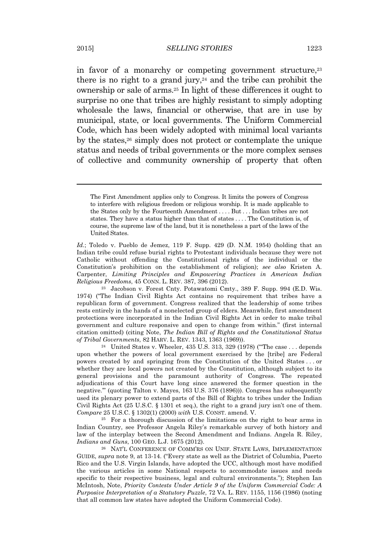in favor of a monarchy or competing government structure,<sup>23</sup> there is no right to a grand jury, $24$  and the tribe can prohibit the ownership or sale of arms.<sup>25</sup> In light of these differences it ought to surprise no one that tribes are highly resistant to simply adopting wholesale the laws, financial or otherwise, that are in use by municipal, state, or local governments. The Uniform Commercial Code, which has been widely adopted with minimal local variants by the states,<sup>26</sup> simply does not protect or contemplate the unique status and needs of tribal governments or the more complex senses of collective and community ownership of property that often

The First Amendment applies only to Congress. It limits the powers of Congress to interfere with religious freedom or religious worship. It is made applicable to the States only by the Fourteenth Amendment . . . . But . . . Indian tribes are not states. They have a status higher than that of states . . . . The Constitution is, of course, the supreme law of the land, but it is nonetheless a part of the laws of the United States.

*Id.*; Toledo v. Pueblo de Jemez, 119 F. Supp. 429 (D. N.M. 1954) (holding that an Indian tribe could refuse burial rights to Protestant individuals because they were not Catholic without offending the Constitutional rights of the individual or the Constitution's prohibition on the establishment of religion); *see also* Kristen A. Carpenter, *Limiting Principles and Empowering Practices in American Indian Religious Freedoms*, 45 CONN. L. REV. 387, 396 (2012).

<sup>23</sup> Jacobson v. Forest Cnty. Potawatomi Cmty., 389 F. Supp. 994 (E.D. Wis. 1974) ("The Indian Civil Rights Act contains no requirement that tribes have a republican form of government. Congress realized that the leadership of some tribes rests entirely in the hands of a nonelected group of elders. Meanwhile, first amendment protections were incorporated in the Indian Civil Rights Act in order to make tribal government and culture responsive and open to change from within." (first internal citation omitted) (citing Note, *The Indian Bill of Rights and the Constitutional Status of Tribal Governments*, 82 HARV. L. REV. 1343, 1363 (1969)).

<sup>&</sup>lt;sup>24</sup> United States v. Wheeler, 435 U.S. 313, 329 (1978) ("The case . . . depends" upon whether the powers of local government exercised by the [tribe] are Federal powers created by and springing from the Constitution of the United States . . . or whether they are local powers not created by the Constitution, although subject to its general provisions and the paramount authority of Congress. The repeated adjudications of this Court have long since answered the former question in the negative.'" (quoting Talton v. Mayes, 163 U.S. 376 (1896))). Congress has subsequently used its plenary power to extend parts of the Bill of Rights to tribes under the Indian Civil Rights Act (25 U.S.C. § 1301 et seq.), the right to a grand jury isn't one of them. *Compare* 25 U.S.C. § 1302(1) (2000) *with* U.S. CONST. amend. V.

<sup>25</sup> For a thorough discussion of the limitations on the right to bear arms in Indian Country, see Professor Angela Riley's remarkable survey of both history and law of the interplay between the Second Amendment and Indians. Angela R. Riley, *Indians and Guns*, 100 GEO. L.J. 1675 (2012).

<sup>26</sup> NAT'L CONFERENCE OF COMM'RS ON UNIF. STATE LAWS, IMPLEMENTATION GUIDE, *supra* note 9, at 13-14. ("Every state as well as the District of Columbia, Puerto Rico and the U.S. Virgin Islands, have adopted the UCC, although most have modified the various articles in some National respects to accommodate issues and needs specific to their respective business, legal and cultural environments."); Stephen Ian McIntosh, Note, *Priority Contests Under Article 9 of the Uniform Commercial Code: A Purposive Interpretation of a Statutory Puzzle*, 72 VA. L. REV. 1155, 1156 (1986) (noting that all common law states have adopted the Uniform Commercial Code).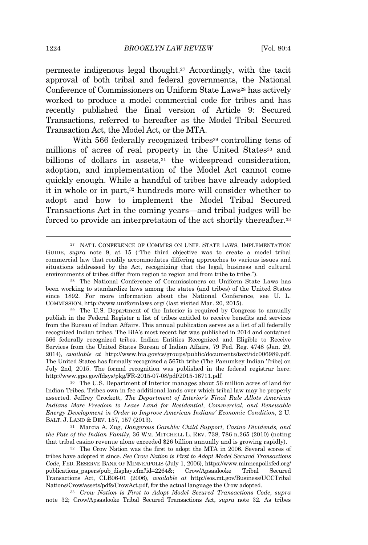permeate indigenous legal thought.<sup>27</sup> Accordingly, with the tacit approval of both tribal and federal governments, the National Conference of Commissioners on Uniform State Laws<sup>28</sup> has actively worked to produce a model commercial code for tribes and has recently published the final version of Article 9: Secured Transactions, referred to hereafter as the Model Tribal Secured Transaction Act, the Model Act, or the MTA.

With 566 federally recognized tribes<sup>29</sup> controlling tens of millions of acres of real property in the United States<sup>30</sup> and billions of dollars in assets, $31$  the widespread consideration, adoption, and implementation of the Model Act cannot come quickly enough. While a handful of tribes have already adopted it in whole or in part,<sup>32</sup> hundreds more will consider whether to adopt and how to implement the Model Tribal Secured Transactions Act in the coming years—and tribal judges will be forced to provide an interpretation of the act shortly thereafter.<sup>33</sup>

<sup>27</sup> NAT'L CONFERENCE OF COMM'RS ON UNIF. STATE LAWS, IMPLEMENTATION GUIDE, *supra* note 9, at 15 ("The third objective was to create a model tribal commercial law that readily accommodates differing approaches to various issues and situations addressed by the Act, recognizing that the legal, business and cultural environments of tribes differ from region to region and from tribe to tribe.").

<sup>28</sup> The National Conference of Commissioners on Uniform State Laws has been working to standardize laws among the states (and tribes) of the United States since 1892. For more information about the National Conference, see U. L. COMMISSION, http://www.uniformlaws.org/ (last visited Mar. 20, 2015).

<sup>29</sup> The U.S. Department of the Interior is required by Congress to annually publish in the Federal Register a list of tribes entitled to receive benefits and services from the Bureau of Indian Affairs. This annual publication serves as a list of all federally recognized Indian tribes. The BIA's most recent list was published in 2014 and contained 566 federally recognized tribes. Indian Entities Recognized and Eligible to Receive Services from the United States Bureau of Indian Affairs, 79 Fed. Reg. 4748 (Jan. 29, 2014), *available at* http://www.bia.gov/cs/groups/public/documents/text/idc006989.pdf. The United States has formally recognized a 567th tribe (The Pamunkey Indian Tribe) on July 2nd, 2015. The formal recognition was published in the federal registrar here: http://www.gpo.gov/fdsys/pkg/FR-2015-07-08/pdf/2015-16711.pdf.

<sup>30</sup> The U.S. Department of Interior manages about 56 million acres of land for Indian Tribes. Tribes own in fee additional lands over which tribal law may be properly asserted. Jeffrey Crockett, *The Department of Interior's Final Rule Allots American Indians More Freedom to Lease Land for Residential, Commercial, and Renewable Energy Development in Order to Improve American Indians' Economic Condition*, 2 U. BALT. J. LAND & DEV. 157, 157 (2013).

<sup>31</sup> Marcia A. Zug, *Dangerous Gamble: Child Support, Casino Dividends, and the Fate of the Indian Family*, 36 WM. MITCHELL L. REV. 738, 786 n.265 (2010) (noting that tribal casino revenue alone exceeded \$26 billion annually and is growing rapidly).

<sup>32</sup> The Crow Nation was the first to adopt the MTA in 2006. Several scores of tribes have adopted it since. *See Crow Nation is First to Adopt Model Secured Transactions Code*, FED. RESERVE BANK OF MINNEAPOLIS (July 1, 2006), https://www.minneapolisfed.org/ publications\_papers/pub\_display.cfm?id=2264&; Crow/Apsaalooke Transactions Act, CLB06-01 (2006), *available at* http://sos.mt.gov/Business/UCCTribal Nations/Crow/assets/pdfs/CrowAct.pdf, for the actual language the Crow adopted.

<sup>33</sup> *Crow Nation is First to Adopt Model Secured Transactions Code*, *supra* note 32; Crow/Apsaalooke Tribal Secured Transactions Act, *supra* note 32. As tribes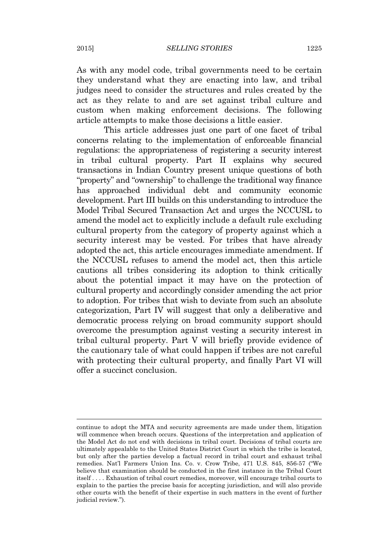As with any model code, tribal governments need to be certain they understand what they are enacting into law, and tribal judges need to consider the structures and rules created by the act as they relate to and are set against tribal culture and custom when making enforcement decisions. The following article attempts to make those decisions a little easier.

This article addresses just one part of one facet of tribal concerns relating to the implementation of enforceable financial regulations: the appropriateness of registering a security interest in tribal cultural property. Part II explains why secured transactions in Indian Country present unique questions of both "property" and "ownership" to challenge the traditional way finance has approached individual debt and community economic development. Part III builds on this understanding to introduce the Model Tribal Secured Transaction Act and urges the NCCUSL to amend the model act to explicitly include a default rule excluding cultural property from the category of property against which a security interest may be vested. For tribes that have already adopted the act, this article encourages immediate amendment. If the NCCUSL refuses to amend the model act, then this article cautions all tribes considering its adoption to think critically about the potential impact it may have on the protection of cultural property and accordingly consider amending the act prior to adoption. For tribes that wish to deviate from such an absolute categorization, Part IV will suggest that only a deliberative and democratic process relying on broad community support should overcome the presumption against vesting a security interest in tribal cultural property. Part V will briefly provide evidence of the cautionary tale of what could happen if tribes are not careful with protecting their cultural property, and finally Part VI will offer a succinct conclusion.

continue to adopt the MTA and security agreements are made under them, litigation will commence when breach occurs. Questions of the interpretation and application of the Model Act do not end with decisions in tribal court. Decisions of tribal courts are ultimately appealable to the United States District Court in which the tribe is located, but only after the parties develop a factual record in tribal court and exhaust tribal remedies. Nat'l Farmers Union Ins. Co. v. Crow Tribe, 471 U.S. 845, 856-57 ("We believe that examination should be conducted in the first instance in the Tribal Court itself . . . . Exhaustion of tribal court remedies, moreover, will encourage tribal courts to explain to the parties the precise basis for accepting jurisdiction, and will also provide other courts with the benefit of their expertise in such matters in the event of further judicial review.").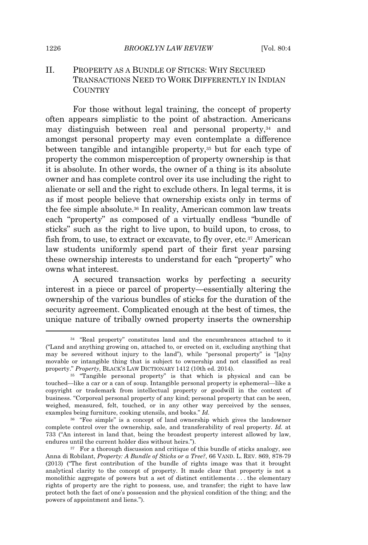## II. PROPERTY AS A BUNDLE OF STICKS: WHY SECURED TRANSACTIONS NEED TO WORK DIFFERENTLY IN INDIAN **COUNTRY**

For those without legal training, the concept of property often appears simplistic to the point of abstraction. Americans may distinguish between real and personal property,<sup>34</sup> and amongst personal property may even contemplate a difference between tangible and intangible property,<sup>35</sup> but for each type of property the common misperception of property ownership is that it is absolute. In other words, the owner of a thing is its absolute owner and has complete control over its use including the right to alienate or sell and the right to exclude others. In legal terms, it is as if most people believe that ownership exists only in terms of the fee simple absolute.<sup>36</sup> In reality, American common law treats each "property" as composed of a virtually endless "bundle of sticks" such as the right to live upon, to build upon, to cross, to fish from, to use, to extract or excavate, to fly over, etc.<sup>37</sup> American law students uniformly spend part of their first year parsing these ownership interests to understand for each "property" who owns what interest.

A secured transaction works by perfecting a security interest in a piece or parcel of property—essentially altering the ownership of the various bundles of sticks for the duration of the security agreement. Complicated enough at the best of times, the unique nature of tribally owned property inserts the ownership

<sup>34</sup> "Real property" constitutes land and the encumbrances attached to it ("Land and anything growing on, attached to, or erected on it, excluding anything that may be severed without injury to the land"), while "personal property" is "[a]ny movable or intangible thing that is subject to ownership and not classified as real property." *Property*, BLACK'S LAW DICTIONARY 1412 (10th ed. 2014).

<sup>&</sup>lt;sup>35</sup> "Tangible personal property" is that which is physical and can be touched—like a car or a can of soup. Intangible personal property is ephemeral—like a copyright or trademark from intellectual property or goodwill in the context of business. "Corporeal personal property of any kind; personal property that can be seen, weighed, measured, felt, touched, or in any other way perceived by the senses, examples being furniture, cooking utensils, and books." *Id.*

<sup>36</sup> "Fee simple" is a concept of land ownership which gives the landowner complete control over the ownership, sale, and transferability of real property. *Id.* at 733 ("An interest in land that, being the broadest property interest allowed by law, endures until the current holder dies without heirs.").

<sup>&</sup>lt;sup>37</sup> For a thorough discussion and critique of this bundle of sticks analogy, see Anna di Robilant, *Property: A Bundle of Sticks or a Tree?*, 66 VAND. L. REV. 869, 878-79 (2013) ("The first contribution of the bundle of rights image was that it brought analytical clarity to the concept of property. It made clear that property is not a monolithic aggregate of powers but a set of distinct entitlements . . . the elementary rights of property are the right to possess, use, and transfer; the right to have law protect both the fact of one's possession and the physical condition of the thing; and the powers of appointment and liens.").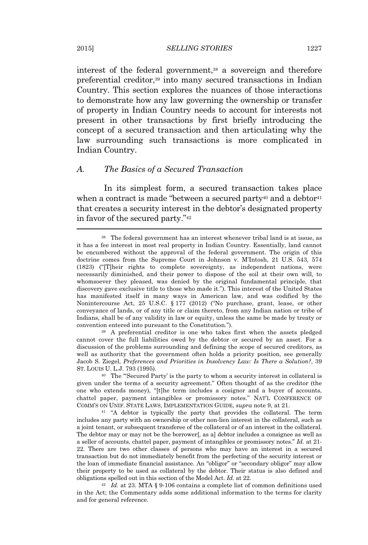interest of the federal government,<sup>38</sup> a sovereign and therefore preferential creditor,<sup>39</sup> into many secured transactions in Indian Country. This section explores the nuances of those interactions to demonstrate how any law governing the ownership or transfer of property in Indian Country needs to account for interests not present in other transactions by first briefly introducing the concept of a secured transaction and then articulating why the law surrounding such transactions is more complicated in Indian Country.

#### *A. The Basics of a Secured Transaction*

In its simplest form, a secured transaction takes place when a contract is made "between a secured party<sup>40</sup> and a debtor<sup>41</sup> that creates a security interest in the debtor's designated property in favor of the secured party." 42

<sup>39</sup> A preferential creditor is one who takes first when the assets pledged cannot cover the full liabilities owed by the debtor or secured by an asset. For a discussion of the problems surrounding and defining the scope of secured creditors, as well as authority that the government often holds a priority position, see generally Jacob S. Ziegel, *Preferences and Priorities in Insolvency Law: Is There a Solution?*, 39 ST. LOUIS U. L.J. 793 (1995).

<sup>40</sup> The "'Secured Party' is the party to whom a security interest in collateral is given under the terms of a security agreement." Often thought of as the creditor (the one who extends money), "[t]he term includes a cosignor and a buyer of accounts, chattel paper, payment intangibles or promissory notes." NAT'L CONFERENCE OF COMM'S ON UNIF. STATE LAWS, IMPLEMENTATION GUIDE, *supra* note 9, at 21.

<sup>41</sup> "A debtor is typically the party that provides the collateral. The term includes any party with an ownership or other non-lien interest in the collateral, such as a joint tenant, or subsequent transferee of the collateral or of an interest in the collateral. The debtor may or may not be the borrower[, as a] debtor includes a consignee as well as a seller of accounts, chattel paper, payment of intangibles or promissory notes." *Id.* at 21- 22*.* There are two other classes of persons who may have an interest in a secured transaction but do not immediately benefit from the perfecting of the security interest or the loan of immediate financial assistance. An "obligor" or "secondary obligor" may allow their property to be used as collateral by the debtor. Their status is also defined and obligations spelled out in this section of the Model Act. *Id.* at 22.

<sup>42</sup> *Id.* at 23*.* MTA § 9-106 contains a complete list of common definitions used in the Act; the Commentary adds some additional information to the terms for clarity and for general reference.

<sup>38</sup> The federal government has an interest whenever tribal land is at issue, as it has a fee interest in most real property in Indian Country. Essentially, land cannot be encumbered without the approval of the federal government. The origin of this doctrine comes from the Supreme Court in Johnson v. M'Intosh, 21 U.S. 543, 574 (1823) ("[T]heir rights to complete sovereignty, as independent nations, were necessarily diminished, and their power to dispose of the soil at their own will, to whomsoever they pleased, was denied by the original fundamental principle, that discovery gave exclusive title to those who made it."). This interest of the United States has manifested itself in many ways in American law, and was codified by the Nonintercourse Act, 25 U.S.C. § 177 (2012) ("No purchase, grant, lease, or other conveyance of lands, or of any title or claim thereto, from any Indian nation or tribe of Indians, shall be of any validity in law or equity, unless the same be made by treaty or convention entered into pursuant to the Constitution.").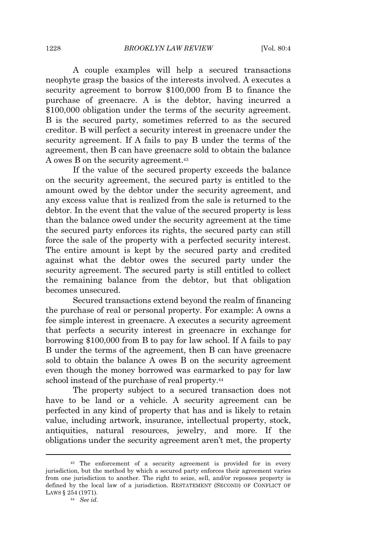A couple examples will help a secured transactions neophyte grasp the basics of the interests involved. A executes a security agreement to borrow \$100,000 from B to finance the purchase of greenacre. A is the debtor, having incurred a \$100,000 obligation under the terms of the security agreement. B is the secured party, sometimes referred to as the secured creditor. B will perfect a security interest in greenacre under the security agreement. If A fails to pay B under the terms of the agreement, then B can have greenacre sold to obtain the balance A owes B on the security agreement.<sup>43</sup>

If the value of the secured property exceeds the balance on the security agreement, the secured party is entitled to the amount owed by the debtor under the security agreement, and any excess value that is realized from the sale is returned to the debtor. In the event that the value of the secured property is less than the balance owed under the security agreement at the time the secured party enforces its rights, the secured party can still force the sale of the property with a perfected security interest. The entire amount is kept by the secured party and credited against what the debtor owes the secured party under the security agreement. The secured party is still entitled to collect the remaining balance from the debtor, but that obligation becomes unsecured.

Secured transactions extend beyond the realm of financing the purchase of real or personal property. For example: A owns a fee simple interest in greenacre. A executes a security agreement that perfects a security interest in greenacre in exchange for borrowing \$100,000 from B to pay for law school. If A fails to pay B under the terms of the agreement, then B can have greenacre sold to obtain the balance A owes B on the security agreement even though the money borrowed was earmarked to pay for law school instead of the purchase of real property.<sup>44</sup>

The property subject to a secured transaction does not have to be land or a vehicle. A security agreement can be perfected in any kind of property that has and is likely to retain value, including artwork, insurance, intellectual property, stock, antiquities, natural resources, jewelry, and more. If the obligations under the security agreement aren't met, the property

<sup>43</sup> The enforcement of a security agreement is provided for in every jurisdiction, but the method by which a secured party enforces their agreement varies from one jurisdiction to another. The right to seize, sell, and/or reposses property is defined by the local law of a jurisdiction. RESTATEMENT (SECOND) OF CONFLICT OF LAWS § 254 (1971).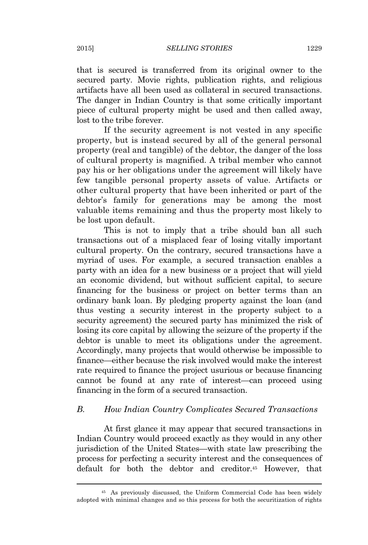that is secured is transferred from its original owner to the secured party. Movie rights, publication rights, and religious artifacts have all been used as collateral in secured transactions. The danger in Indian Country is that some critically important piece of cultural property might be used and then called away, lost to the tribe forever.

If the security agreement is not vested in any specific property, but is instead secured by all of the general personal property (real and tangible) of the debtor, the danger of the loss of cultural property is magnified. A tribal member who cannot pay his or her obligations under the agreement will likely have few tangible personal property assets of value. Artifacts or other cultural property that have been inherited or part of the debtor's family for generations may be among the most valuable items remaining and thus the property most likely to be lost upon default.

This is not to imply that a tribe should ban all such transactions out of a misplaced fear of losing vitally important cultural property. On the contrary, secured transactions have a myriad of uses. For example, a secured transaction enables a party with an idea for a new business or a project that will yield an economic dividend, but without sufficient capital, to secure financing for the business or project on better terms than an ordinary bank loan. By pledging property against the loan (and thus vesting a security interest in the property subject to a security agreement) the secured party has minimized the risk of losing its core capital by allowing the seizure of the property if the debtor is unable to meet its obligations under the agreement. Accordingly, many projects that would otherwise be impossible to finance—either because the risk involved would make the interest rate required to finance the project usurious or because financing cannot be found at any rate of interest—can proceed using financing in the form of a secured transaction.

## *B. How Indian Country Complicates Secured Transactions*

At first glance it may appear that secured transactions in Indian Country would proceed exactly as they would in any other jurisdiction of the United States—with state law prescribing the process for perfecting a security interest and the consequences of default for both the debtor and creditor.<sup>45</sup> However, that

<sup>45</sup> As previously discussed, the Uniform Commercial Code has been widely adopted with minimal changes and so this process for both the securitization of rights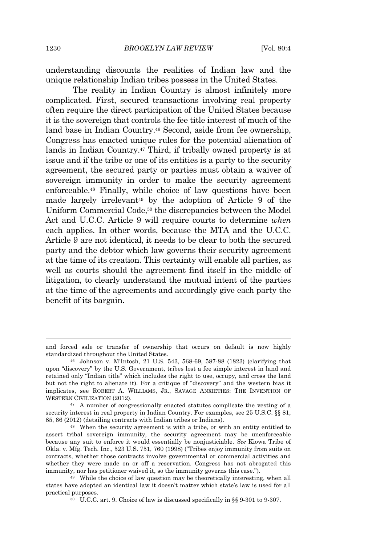understanding discounts the realities of Indian law and the unique relationship Indian tribes possess in the United States.

The reality in Indian Country is almost infinitely more complicated. First, secured transactions involving real property often require the direct participation of the United States because it is the sovereign that controls the fee title interest of much of the land base in Indian Country.<sup>46</sup> Second, aside from fee ownership, Congress has enacted unique rules for the potential alienation of lands in Indian Country.<sup>47</sup> Third, if tribally owned property is at issue and if the tribe or one of its entities is a party to the security agreement, the secured party or parties must obtain a waiver of sovereign immunity in order to make the security agreement enforceable.<sup>48</sup> Finally, while choice of law questions have been made largely irrelevant<sup>49</sup> by the adoption of Article 9 of the Uniform Commercial Code,<sup>50</sup> the discrepancies between the Model Act and U.C.C. Article 9 will require courts to determine *when* each applies. In other words, because the MTA and the U.C.C. Article 9 are not identical, it needs to be clear to both the secured party and the debtor which law governs their security agreement at the time of its creation. This certainty will enable all parties, as well as courts should the agreement find itself in the middle of litigation, to clearly understand the mutual intent of the parties at the time of the agreements and accordingly give each party the benefit of its bargain.

and forced sale or transfer of ownership that occurs on default is now highly standardized throughout the United States.

<sup>46</sup> Johnson v. M'Intosh, 21 U.S. 543, 568-69, 587-88 (1823) (clarifying that upon "discovery" by the U.S. Government, tribes lost a fee simple interest in land and retained only "Indian title" which includes the right to use, occupy, and cross the land but not the right to alienate it). For a critique of "discovery" and the western bias it implicates, see ROBERT A. WILLIAMS, JR., SAVAGE ANXIETIES: THE INVENTION OF WESTERN CIVILIZATION (2012).

<sup>&</sup>lt;sup>47</sup> A number of congressionally enacted statutes complicate the vesting of a security interest in real property in Indian Country. For examples, see 25 U.S.C. §§ 81, 85, 86 (2012) (detailing contracts with Indian tribes or Indians).

<sup>48</sup> When the security agreement is with a tribe, or with an entity entitled to assert tribal sovereign immunity, the security agreement may be unenforceable because any suit to enforce it would essentially be nonjusticiable. *See* Kiowa Tribe of Okla. v. Mfg. Tech. Inc., 523 U.S. 751, 760 (1998) ("Tribes enjoy immunity from suits on contracts, whether those contracts involve governmental or commercial activities and whether they were made on or off a reservation. Congress has not abrogated this immunity, nor has petitioner waived it, so the immunity governs this case.").

<sup>49</sup> While the choice of law question may be theoretically interesting, when all states have adopted an identical law it doesn't matter which state's law is used for all practical purposes.

<sup>50</sup> U.C.C. art. 9. Choice of law is discussed specifically in §§ 9-301 to 9-307.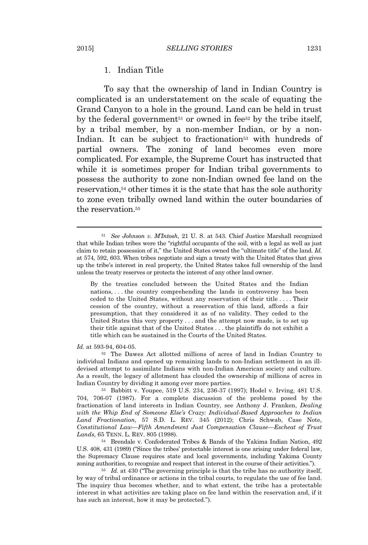## 1. Indian Title

To say that the ownership of land in Indian Country is complicated is an understatement on the scale of equating the Grand Canyon to a hole in the ground. Land can be held in trust by the federal government<sup>51</sup> or owned in fee<sup>52</sup> by the tribe itself, by a tribal member, by a non-member Indian, or by a non-Indian. It can be subject to fractionation<sup>53</sup> with hundreds of partial owners. The zoning of land becomes even more complicated. For example, the Supreme Court has instructed that while it is sometimes proper for Indian tribal governments to possess the authority to zone non-Indian owned fee land on the reservation,<sup>54</sup> other times it is the state that has the sole authority to zone even tribally owned land within the outer boundaries of the reservation<sup>55</sup>

By the treaties concluded between the United States and the Indian nations, . . . the country comprehending the lands in controversy has been ceded to the United States, without any reservation of their title . . . . Their cession of the country, without a reservation of this land, affords a fair presumption, that they considered it as of no validity. They ceded to the United States this very property . . . and the attempt now made, is to set up their title against that of the United States . . . the plaintiffs do not exhibit a title which can be sustained in the Courts of the United States.

*Id.* at 593-94, 604-05.

<sup>52</sup> The Dawes Act allotted millions of acres of land in Indian Country to individual Indians and opened up remaining lands to non-Indian settlement in an illdevised attempt to assimilate Indians with non-Indian American society and culture. As a result, the legacy of allotment has clouded the ownership of millions of acres in Indian Country by dividing it among ever more parties.

<sup>53</sup> Babbitt v. Youpee, 519 U.S. 234, 236-37 (1997); Hodel v. Irving, 481 U.S. 704, 706-07 (1987). For a complete discussion of the problems posed by the fractionation of land interests in Indian Country, see Anthony J. Franken, *Dealing with the Whip End of Someone Else's Crazy: Individual-Based Approaches to Indian Land Fractionation*, 57 S.D. L. REV. 345 (2012); Chris Schwab, Case Note, *Constitutional Law—Fifth Amendment Just Compensation Clause—Escheat of Trust Lands*, 65 TENN. L. REV. 805 (1998).

<sup>54</sup> Brendale v. Confederated Tribes & Bands of the Yakima Indian Nation, 492 U.S. 408, 431 (1989) ("Since the tribes' protectable interest is one arising under federal law, the Supremacy Clause requires state and local governments, including Yakima County zoning authorities, to recognize and respect that interest in the course of their activities.").

<sup>55</sup> *Id.* at 430 ("The governing principle is that the tribe has no authority itself, by way of tribal ordinance or actions in the tribal courts, to regulate the use of fee land. The inquiry thus becomes whether, and to what extent, the tribe has a protectable interest in what activities are taking place on fee land within the reservation and, if it has such an interest, how it may be protected.").

<sup>51</sup> *See Johnson v. M'Intosh*, 21 U. S. at 543. Chief Justice Marshall recognized that while Indian tribes were the "rightful occupants of the soil, with a legal as well as just claim to retain possession of it," the United States owned the "ultimate title" of the land. *Id.* at 574, 592, 603. When tribes negotiate and sign a treaty with the United States that gives up the tribe's interest in real property, the United States takes full ownership of the land unless the treaty reserves or protects the interest of any other land owner.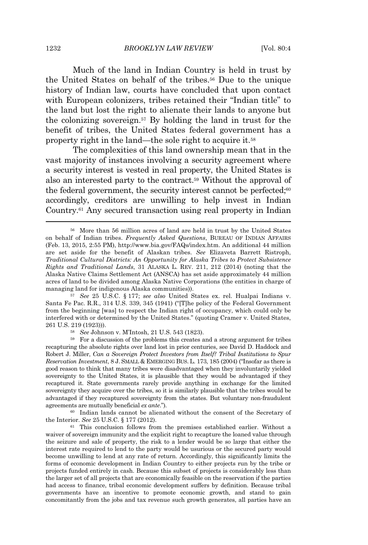Much of the land in Indian Country is held in trust by the United States on behalf of the tribes.<sup>56</sup> Due to the unique history of Indian law, courts have concluded that upon contact with European colonizers, tribes retained their "Indian title" to the land but lost the right to alienate their lands to anyone but the colonizing sovereign.<sup>57</sup> By holding the land in trust for the benefit of tribes, the United States federal government has a property right in the land—the sole right to acquire it.<sup>58</sup>

The complexities of this land ownership mean that in the vast majority of instances involving a security agreement where a security interest is vested in real property, the United States is also an interested party to the contract.<sup>59</sup> Without the approval of the federal government, the security interest cannot be perfected:<sup>60</sup> accordingly, creditors are unwilling to help invest in Indian Country.<sup>61</sup> Any secured transaction using real property in Indian

<sup>57</sup> *See* 25 U.S.C. § 177; *see also* United States ex. rel. Hualpai Indians v. Santa Fe Pac. R.R., 314 U.S. 339, 345 (1941) ("[T]he policy of the Federal Government from the beginning [was] to respect the Indian right of occupancy, which could only be interfered with or determined by the United States." (quoting Cramer v. United States, 261 U.S. 219 (1923))).

<sup>60</sup> Indian lands cannot be alienated without the consent of the Secretary of the Interior. *See* 25 U.S.C. § 177 (2012).

<sup>61</sup> This conclusion follows from the premises established earlier. Without a waiver of sovereign immunity and the explicit right to recapture the loaned value through the seizure and sale of property, the risk to a lender would be so large that either the interest rate required to lend to the party would be usurious or the secured party would become unwilling to lend at any rate of return. Accordingly, this significantly limits the forms of economic development in Indian Country to either projects run by the tribe or projects funded entirely in cash. Because this subset of projects is considerably less than the larger set of all projects that are economically feasible on the reservation if the parties had access to finance, tribal economic development suffers by definition. Because tribal governments have an incentive to promote economic growth, and stand to gain concomitantly from the jobs and tax revenue such growth generates, all parties have an

<sup>56</sup> More than 56 million acres of land are held in trust by the United States on behalf of Indian tribes. *Frequently Asked Questions*, BUREAU OF INDIAN AFFAIRS (Feb. 13, 2015, 2:55 PM), http://www.bia.gov/FAQs/index.htm. An additional 44 million are set aside for the benefit of Alaskan tribes. *See* Elizaveta Barrett Ristroph, *Traditional Cultural Districts: An Opportunity for Alaska Tribes to Protect Subsistence Rights and Traditional Lands*, 31 ALASKA L. REV. 211, 212 (2014) (noting that the Alaska Native Claims Settlement Act (ANSCA) has set aside approximately 44 million acres of land to be divided among Alaska Native Corporations (the entities in charge of managing land for indigenous Alaska communities)).

<sup>58</sup> *See* Johnson v. M'Intosh, 21 U.S. 543 (1823).

<sup>59</sup> For a discussion of the problems this creates and a strong argument for tribes recapturing the absolute rights over land lost in prior centuries, see David D. Haddock and Robert J. Miller, *Can a Sovereign Protect Investors from Itself? Tribal Institutions to Spur Reservation Investment*, 8 J. SMALL & EMERGING BUS. L. 173, 185 (2004) ("Insofar as there is good reason to think that many tribes were disadvantaged when they involuntarily yielded sovereignty to the United States, it is plausible that they would be advantaged if they recaptured it. State governments rarely provide anything in exchange for the limited sovereignty they acquire over the tribes, so it is similarly plausible that the tribes would be advantaged if they recaptured sovereignty from the states. But voluntary non-fraudulent agreements are mutually beneficial *ex ante*.").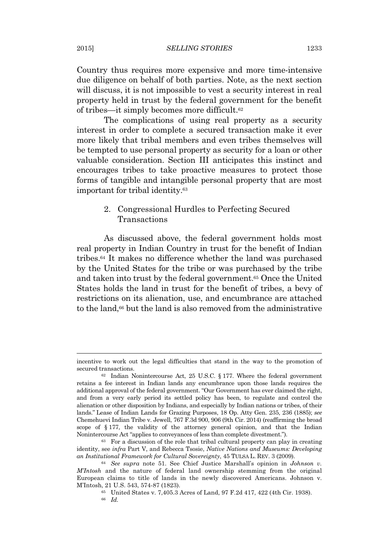Country thus requires more expensive and more time-intensive due diligence on behalf of both parties. Note, as the next section will discuss, it is not impossible to vest a security interest in real property held in trust by the federal government for the benefit of tribes—it simply becomes more difficult.<sup>62</sup>

The complications of using real property as a security interest in order to complete a secured transaction make it ever more likely that tribal members and even tribes themselves will be tempted to use personal property as security for a loan or other valuable consideration. Section III anticipates this instinct and encourages tribes to take proactive measures to protect those forms of tangible and intangible personal property that are most important for tribal identity.<sup>63</sup>

## 2. Congressional Hurdles to Perfecting Secured Transactions

As discussed above, the federal government holds most real property in Indian Country in trust for the benefit of Indian tribes.<sup>64</sup> It makes no difference whether the land was purchased by the United States for the tribe or was purchased by the tribe and taken into trust by the federal government.<sup>65</sup> Once the United States holds the land in trust for the benefit of tribes, a bevy of restrictions on its alienation, use, and encumbrance are attached to the land,<sup>66</sup> but the land is also removed from the administrative

incentive to work out the legal difficulties that stand in the way to the promotion of secured transactions.

 $62$  Indian Nonintercourse Act, 25 U.S.C. § 177. Where the federal government retains a fee interest in Indian lands any encumbrance upon those lands requires the additional approval of the federal government. "Our Government has ever claimed the right, and from a very early period its settled policy has been, to regulate and control the alienation or other disposition by Indians, and especially by Indian nations or tribes, of their lands." Lease of Indian Lands for Grazing Purposes, 18 Op. Atty Gen. 235, 236 (1885); *see* Chemehuevi Indian Tribe v. Jewell, 767 F.3d 900, 906 (9th Cir. 2014) (reaffirming the broad scope of § 177, the validity of the attorney general opinion, and that the Indian Nonintercourse Act "applies to conveyances of less than complete divestment.").

<sup>63</sup> For a discussion of the role that tribal cultural property can play in creating identity, see *infra* Part V, and Rebecca Tsosie, *Native Nations and Museums: Developing an Institutional Framework for Cultural Sovereignty*, 45 TULSA L. REV. 3 (2009).

<sup>64</sup> *See supra* note 51. See Chief Justice Marshall's opinion in *Johnson v. M'Intosh* and the nature of federal land ownership stemming from the original European claims to title of lands in the newly discovered Americans. Johnson v. M'Intosh, 21 U.S. 543, 574-87 (1823).

<sup>65</sup> United States v. 7,405.3 Acres of Land, 97 F.2d 417, 422 (4th Cir. 1938).

<sup>66</sup> *Id.*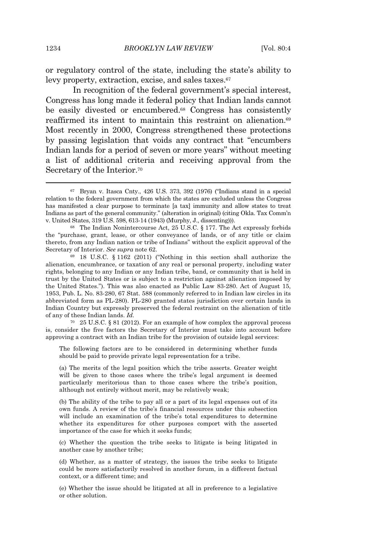or regulatory control of the state, including the state's ability to levy property, extraction, excise, and sales taxes.<sup>67</sup>

In recognition of the federal government's special interest, Congress has long made it federal policy that Indian lands cannot be easily divested or encumbered.<sup>68</sup> Congress has consistently reaffirmed its intent to maintain this restraint on alienation.<sup>69</sup> Most recently in 2000, Congress strengthened these protections by passing legislation that voids any contract that "encumbers Indian lands for a period of seven or more years" without meeting a list of additional criteria and receiving approval from the Secretary of the Interior.<sup>70</sup>

<sup>70</sup> 25 U.S.C. § 81 (2012). For an example of how complex the approval process is, consider the five factors the Secretary of Interior must take into account before approving a contract with an Indian tribe for the provision of outside legal services:

The following factors are to be considered in determining whether funds should be paid to provide private legal representation for a tribe.

(a) The merits of the legal position which the tribe asserts. Greater weight will be given to those cases where the tribe's legal argument is deemed particularly meritorious than to those cases where the tribe's position, although not entirely without merit, may be relatively weak;

(b) The ability of the tribe to pay all or a part of its legal expenses out of its own funds. A review of the tribe's financial resources under this subsection will include an examination of the tribe's total expenditures to determine whether its expenditures for other purposes comport with the asserted importance of the case for which it seeks funds;

(c) Whether the question the tribe seeks to litigate is being litigated in another case by another tribe;

(d) Whether, as a matter of strategy, the issues the tribe seeks to litigate could be more satisfactorily resolved in another forum, in a different factual context, or a different time; and

(e) Whether the issue should be litigated at all in preference to a legislative or other solution.

<sup>67</sup> Bryan v. Itasca Cnty., 426 U.S. 373, 392 (1976) ("Indians stand in a special relation to the federal government from which the states are excluded unless the Congress has manifested a clear purpose to terminate [a tax] immunity and allow states to treat Indians as part of the general community." (alteration in original) (citing Okla. Tax Comm'n v. United States, 319 U.S. 598, 613-14 (1943) (Murphy, J., dissenting))).

<sup>68</sup> The Indian Nonintercourse Act, 25 U.S.C. § 177. The Act expressly forbids the "purchase, grant, lease, or other conveyance of lands, or of any title or claim thereto, from any Indian nation or tribe of Indians" without the explicit approval of the Secretary of Interior. *See supra* note 62.

<sup>69</sup> 18 U.S.C. § 1162 (2011) ("Nothing in this section shall authorize the alienation, encumbrance, or taxation of any real or personal property, including water rights, belonging to any Indian or any Indian tribe, band, or community that is held in trust by the United States or is subject to a restriction against alienation imposed by the United States."). This was also enacted as Public Law 83-280. Act of August 15, 1953, Pub. L. No. 83-280, 67 Stat. 588 (commonly referred to in Indian law circles in its abbreviated form as PL-280). PL-280 granted states jurisdiction over certain lands in Indian Country but expressly preserved the federal restraint on the alienation of title of any of these Indian lands. *Id.*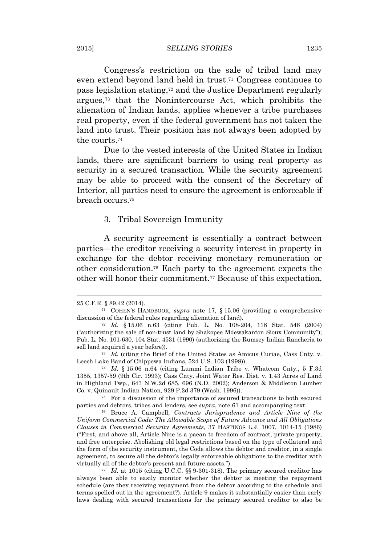#### 2015] *SELLING STORIES* 1235

Congress's restriction on the sale of tribal land may even extend beyond land held in trust.<sup>71</sup> Congress continues to pass legislation stating,<sup>72</sup> and the Justice Department regularly argues,<sup>73</sup> that the Nonintercourse Act, which prohibits the alienation of Indian lands, applies whenever a tribe purchases real property, even if the federal government has not taken the land into trust. Their position has not always been adopted by the courts.<sup>74</sup>

Due to the vested interests of the United States in Indian lands, there are significant barriers to using real property as security in a secured transaction. While the security agreement may be able to proceed with the consent of the Secretary of Interior, all parties need to ensure the agreement is enforceable if breach occurs.<sup>75</sup>

#### 3. Tribal Sovereign Immunity

A security agreement is essentially a contract between parties—the creditor receiving a security interest in property in exchange for the debtor receiving monetary remuneration or other consideration.<sup>76</sup> Each party to the agreement expects the other will honor their commitment.<sup>77</sup> Because of this expectation,

<sup>25</sup> C.F.R. § 89.42 (2014).

<sup>71</sup> COHEN'S HANDBOOK, *supra* note 17, § 15.06 (providing a comprehensive discussion of the federal rules regarding alienation of land).

<sup>72</sup> *Id.* § 15.06 n.63 (citing Pub. L. No. 108-204, 118 Stat. 546 (2004) ("authorizing the sale of non-trust land by Shakopee Mdewakanton Sioux Community"); Pub. L. No. 101-630, 104 Stat. 4531 (1990) (authorizing the Rumsey Indian Rancheria to sell land acquired a year before)).

<sup>73</sup> *Id.* (citing the Brief of the United States as Amicus Curiae, Cass Cnty. v. Leech Lake Band of Chippewa Indians, 524 U.S. 103 (1998)).

<sup>74</sup> *Id.* § 15.06 n.64 (citing Lummi Indian Tribe v. Whatcom Cnty., 5 F.3d 1355, 1357-59 (9th Cir. 1993); Cass Cnty. Joint Water Res. Dist. v. 1.43 Acres of Land in Highland Twp., 643 N.W.2d 685, 696 (N.D. 2002); Anderson & Middleton Lumber Co. v. Quinault Indian Nation, 929 P.2d 379 (Wash. 1996)).

<sup>75</sup> For a discussion of the importance of secured transactions to both secured parties and debtors, tribes and lenders, see *supra*, note 61 and accompanying text.

<sup>76</sup> Bruce A. Campbell, *Contracts Jurisprudence and Article Nine of the Uniform Commercial Code: The Allowable Scope of Future Advance and All Obligations Clauses in Commercial Security Agreements*, 37 HASTINGS L.J. 1007, 1014-15 (1986) ("First, and above all, Article Nine is a paean to freedom of contract, private property, and free enterprise. Abolishing old legal restrictions based on the type of collateral and the form of the security instrument, the Code allows the debtor and creditor, in a single agreement, to secure all the debtor's legally enforceable obligations to the creditor with virtually all of the debtor's present and future assets.").

<sup>77</sup> *Id.* at 1015 (citing U.C.C. §§ 9-301-318). The primary secured creditor has always been able to easily monitor whether the debtor is meeting the repayment schedule (are they receiving repayment from the debtor according to the schedule and terms spelled out in the agreement?). Article 9 makes it substantially easier than early laws dealing with secured transactions for the primary secured creditor to also be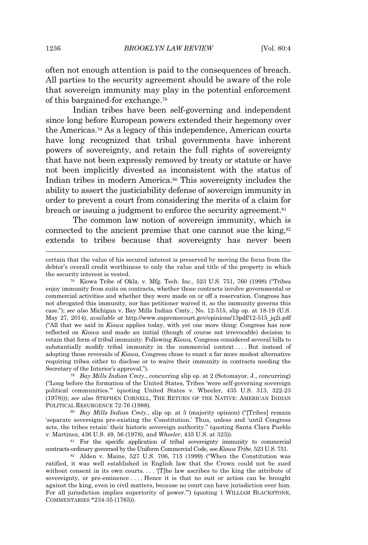often not enough attention is paid to the consequences of breach. All parties to the security agreement should be aware of the role that sovereign immunity may play in the potential enforcement of this bargained-for exchange.<sup>78</sup>

Indian tribes have been self-governing and independent since long before European powers extended their hegemony over the Americas.<sup>79</sup> As a legacy of this independence, American courts have long recognized that tribal governments have inherent powers of sovereignty, and retain the full rights of sovereignty that have not been expressly removed by treaty or statute or have not been implicitly divested as inconsistent with the status of Indian tribes in modern America.<sup>80</sup> This sovereignty includes the ability to assert the justiciability defense of sovereign immunity in order to prevent a court from considering the merits of a claim for breach or issuing a judgment to enforce the security agreement.<sup>81</sup>

The common law notion of sovereign immunity, which is connected to the ancient premise that one cannot sue the king,<sup>82</sup> extends to tribes because that sovereignty has never been

<sup>79</sup> *Bay Mills Indian Cmty.*, concurring slip op. at 2 (Sotomayor, J., concurring) ("Long before the formation of the United States, Tribes 'were self-governing sovereign political communities.'" (quoting United States v. Wheeler, 435 U.S. 313, 322-23 (1978))); *see also* STEPHEN CORNELL, THE RETURN OF THE NATIVE: AMERICAN INDIAN POLITICAL RESURGENCE 72-76 (1988).

<sup>80</sup> *Bay Mills Indian Cmty.*, slip op. at 5 (majority opinion) ("[Tribes] remain 'separate sovereigns pre-existing the Constitution.' Thus, unless and 'until Congress acts, the tribes retain' their historic sovereign authority." (quoting Santa Clara Pueblo v. Martinez, 436 U.S. 49, 56 (1978), and *Wheeler*, 435 U.S. at 323)).

<sup>81</sup> For the specific application of tribal sovereignty immunity to commercial contracts ordinary governed by the Uniform Commercial Code, see *Kiowa Tribe*, 523 U.S. 751.

<sup>82</sup> Alden v. Maine, 527 U.S. 706, 715 (1999) ("When the Constitution was ratified, it was well established in English law that the Crown could not be sued without consent in its own courts.... '[T]he law ascribes to the king the attribute of sovereignty, or pre-eminence . . . . Hence it is that no suit or action can be brought against the king, even in civil matters, because no court can have jurisdiction over him. For all jurisdiction implies superiority of power.'") (quoting 1 WILLIAM BLACKSTONE, COMMENTARIES \*234-35 (1765)).

certain that the value of his secured interest is preserved by moving the focus from the debtor's overall credit worthiness to only the value and title of the property in which the security interest is vested.

<sup>78</sup> Kiowa Tribe of Okla. v. Mfg. Tech. Inc., 523 U.S. 751, 760 (1998) ("Tribes enjoy immunity from suits on contracts, whether those contracts involve governmental or commercial activities and whether they were made on or off a reservation. Congress has not abrogated this immunity, nor has petitioner waived it, so the immunity governs this case."); *see also* Michigan v. Bay Mills Indian Cmty., No. 12-515, slip op. at 18-19 (U.S. May 27, 2014), *available at* http://www.supremecourt.gov/opinions/13pdf/12-515\_jq2i.pdf ("All that we said in *Kiowa* applies today, with yet one more thing: Congress has now reflected on *Kiowa* and made an initial (though of course not irrevocable) decision to retain that form of tribal immunity. Following *Kiowa*, Congress considered several bills to substantially modify tribal immunity in the commercial context . . . . But instead of adopting those reversals of *Kiowa*, Congress chose to enact a far more modest alternative requiring tribes either to disclose or to waive their immunity in contracts needing the Secretary of the Interior's approval.").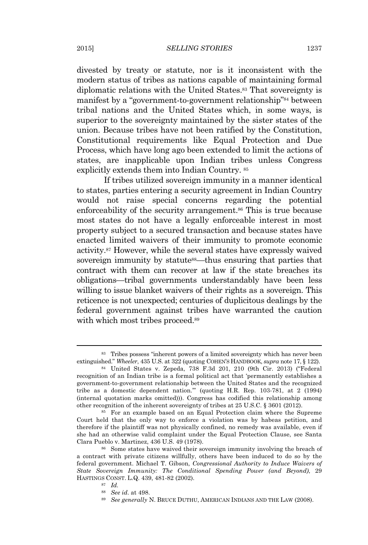divested by treaty or statute, nor is it inconsistent with the modern status of tribes as nations capable of maintaining formal diplomatic relations with the United States.<sup>83</sup> That sovereignty is manifest by a "government-to-government relationship" <sup>84</sup> between tribal nations and the United States which, in some ways, is superior to the sovereignty maintained by the sister states of the union. Because tribes have not been ratified by the Constitution, Constitutional requirements like Equal Protection and Due Process, which have long ago been extended to limit the actions of states, are inapplicable upon Indian tribes unless Congress explicitly extends them into Indian Country. <sup>85</sup>

If tribes utilized sovereign immunity in a manner identical to states, parties entering a security agreement in Indian Country would not raise special concerns regarding the potential enforceability of the security arrangement.<sup>86</sup> This is true because most states do not have a legally enforceable interest in most property subject to a secured transaction and because states have enacted limited waivers of their immunity to promote economic activity.<sup>87</sup> However, while the several states have expressly waived sovereign immunity by statute<sup>88</sup>—thus ensuring that parties that contract with them can recover at law if the state breaches its obligations—tribal governments understandably have been less willing to issue blanket waivers of their rights as a sovereign. This reticence is not unexpected; centuries of duplicitous dealings by the federal government against tribes have warranted the caution with which most tribes proceed.<sup>89</sup>

<sup>89</sup> *See generally* N. BRUCE DUTHU, AMERICAN INDIANS AND THE LAW (2008).

<sup>83</sup> Tribes possess "inherent powers of a limited sovereignty which has never been extinguished." *Wheeler*, 435 U.S. at 322 (quoting COHEN'S HANDBOOK, *supra* note 17, § 122).

<sup>84</sup> United States v. Zepeda, 738 F.3d 201, 210 (9th Cir. 2013) ("Federal recognition of an Indian tribe is a formal political act that 'permanently establishes a government-to-government relationship between the United States and the recognized tribe as a domestic dependent nation.'" (quoting H.R. Rep. 103-781, at 2 (1994) (internal quotation marks omitted))). Congress has codified this relationship among other recognition of the inherent sovereignty of tribes at 25 U.S.C. § 3601 (2012).

<sup>85</sup> For an example based on an Equal Protection claim where the Supreme Court held that the only way to enforce a violation was by habeas petition, and therefore if the plaintiff was not physically confined, no remedy was available, even if she had an otherwise valid complaint under the Equal Protection Clause, see Santa Clara Pueblo v. Martinez, 436 U.S. 49 (1978).

<sup>86</sup> Some states have waived their sovereign immunity involving the breach of a contract with private citizens willfully, others have been induced to do so by the federal government. Michael T. Gibson, *Congressional Authority to Induce Waivers of State Sovereign Immunity: The Conditional Spending Power (and Beyond)*, 29 HASTINGS CONST. L.Q. 439, 481-82 (2002).

<sup>87</sup> *Id.*

<sup>88</sup> *See id*. at 498.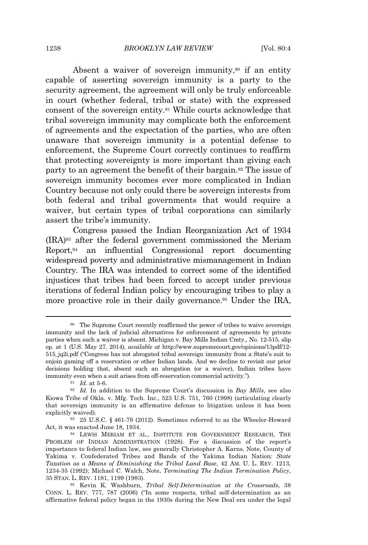Absent a waiver of sovereign immunity,<sup>90</sup> if an entity capable of asserting sovereign immunity is a party to the security agreement, the agreement will only be truly enforceable in court (whether federal, tribal or state) with the expressed consent of the sovereign entity.<sup>91</sup> While courts acknowledge that tribal sovereign immunity may complicate both the enforcement of agreements and the expectation of the parties, who are often unaware that sovereign immunity is a potential defense to enforcement, the Supreme Court correctly continues to reaffirm that protecting sovereignty is more important than giving each party to an agreement the benefit of their bargain.<sup>92</sup> The issue of sovereign immunity becomes ever more complicated in Indian Country because not only could there be sovereign interests from both federal and tribal governments that would require a waiver, but certain types of tribal corporations can similarly assert the tribe's immunity.

Congress passed the Indian Reorganization Act of 1934 (IRA)<sup>93</sup> after the federal government commissioned the Meriam Report,<sup>94</sup> an influential Congressional report documenting widespread poverty and administrative mismanagement in Indian Country. The IRA was intended to correct some of the identified injustices that tribes had been forced to accept under previous iterations of federal Indian policy by encouraging tribes to play a more proactive role in their daily governance.<sup>95</sup> Under the IRA,

<sup>91</sup> *Id.* at 5-6.

<sup>90</sup> The Supreme Court recently reaffirmed the power of tribes to waive sovereign immunity and the lack of judicial alternatives for enforcement of agreements by private parties when such a waiver is absent. Michigan v. Bay Mills Indian Cmty., No. 12-515, slip op. at 1 (U.S. May 27, 2014), *available at* http://www.supremecourt.gov/opinions/13pdf/12- 515\_jq2i.pdf ("Congress has not abrogated tribal sovereign immunity from a State's suit to enjoin gaming off a reservation or other Indian lands. And we decline to revisit our prior decisions holding that, absent such an abrogation (or a waiver), Indian tribes have immunity even when a suit arises from off-reservation commercial activity.").

<sup>92</sup> *Id.* In addition to the Supreme Court's discussion in *Bay Mills*, see also Kiowa Tribe of Okla. v. Mfg. Tech. Inc., 523 U.S. 751, 760 (1998) (articulating clearly that sovereign immunity is an affirmative defense to litigation unless it has been explicitly waived).

<sup>93</sup> 25 U.S.C. § 461-79 (2012). Sometimes referred to as the Wheeler-Howard Act, it was enacted June 18, 1934.

<sup>94</sup> LEWIS MERIAM ET AL., INSTITUTE FOR GOVERNMENT RESEARCH, THE PROBLEM OF INDIAN ADMINISTRATION (1928). For a discussion of the report's importance to federal Indian law, see generally Christopher A. Karns, Note, County of Yakima v. Confederated Tribes and Bands of the Yakima Indian Nation*: State Taxation as a Means of Diminishing the Tribal Land Base*, 42 AM. U. L. REV. 1213, 1234-35 (1992); Michael C. Walch, Note, *Terminating The Indian Termination Policy*, 35 STAN. L. REV. 1181, 1199 (1983).

<sup>95</sup> Kevin K. Washburn, *Tribal Self-Determination at the Crossroads*, 38 CONN. L. REV. 777, 787 (2006) ("In some respects, tribal self-determination as an affirmative federal policy began in the 1930s during the New Deal era under the legal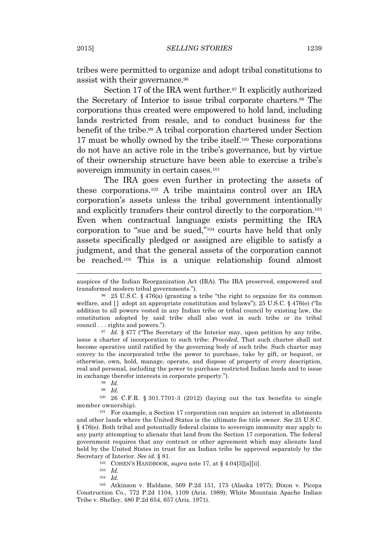tribes were permitted to organize and adopt tribal constitutions to assist with their governance.<sup>96</sup>

Section 17 of the IRA went further.<sup>97</sup> It explicitly authorized the Secretary of Interior to issue tribal corporate charters.<sup>98</sup> The corporations thus created were empowered to hold land, including lands restricted from resale, and to conduct business for the benefit of the tribe.<sup>99</sup> A tribal corporation chartered under Section 17 must be wholly owned by the tribe itself.<sup>100</sup> These corporations do not have an active role in the tribe's governance, but by virtue of their ownership structure have been able to exercise a tribe's sovereign immunity in certain cases.<sup>101</sup>

The IRA goes even further in protecting the assets of these corporations.<sup>102</sup> A tribe maintains control over an IRA corporation's assets unless the tribal government intentionally and explicitly transfers their control directly to the corporation.<sup>103</sup> Even when contractual language exists permitting the IRA corporation to "sue and be sued," <sup>104</sup> courts have held that only assets specifically pledged or assigned are eligible to satisfy a judgment, and that the general assets of the corporation cannot be reached.<sup>105</sup> This is a unique relationship found almost

<sup>97</sup> *Id.* § 477 ("The Secretary of the Interior may, upon petition by any tribe, issue a charter of incorporation to such tribe: *Provided*, That such charter shall not become operative until ratified by the governing body of such tribe. Such charter may convey to the incorporated tribe the power to purchase, take by gift, or bequest, or otherwise, own, hold, manage, operate, and dispose of property of every description, real and personal, including the power to purchase restricted Indian lands and to issue in exchange therefor interests in corporate property.").

<sup>100</sup> 26 C.F.R. § 301.7701-3 (2012) (laying out the tax benefits to single member ownership).

 $101$  For example, a Section 17 corporation can acquire an interest in allotments and other lands where the United States is the ultimate fee title owner. *See* 25 U.S.C. § 476(e). Both tribal and potentially federal claims to sovereign immunity may apply to any party attempting to alienate that land from the Section 17 corporation. The federal government requires that any contract or other agreement which may alienate land held by the United States in trust for an Indian tribe be approved separately by the Secretary of Interior. *See id.* § 81.

<sup>102</sup> COHEN'S HANDBOOK, *supra* note 17, at § 4.04[3][a][ii].

<sup>103</sup> *Id.*

<sup>104</sup> *Id.*

<sup>105</sup> Atkinson v. Haldane, 569 P.2d 151, 175 (Alaska 1977); Dixon v. Picopa Construction Co., 772 P.2d 1104, 1109 (Ariz. 1989); White Mountain Apache Indian Tribe v. Shelley, 480 P.2d 654, 657 (Ariz. 1971).

auspices of the Indian Reorganization Act (IRA). The IRA preserved, empowered and transformed modern tribal governments.").

<sup>96</sup> 25 U.S.C. § 476(a) (granting a tribe "the right to organize for its common welfare, and  $\lceil \cdot \rceil$  adopt an appropriate constitution and bylaws"); 25 U.S.C. § 476(e) ("In addition to all powers vested in any Indian tribe or tribal council by existing law, the constitution adopted by said tribe shall also vest in such tribe or its tribal council . . . rights and powers.").

<sup>98</sup> *Id.*

<sup>99</sup> *Id.*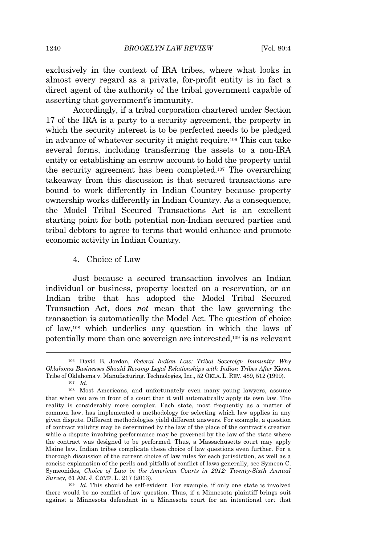exclusively in the context of IRA tribes, where what looks in almost every regard as a private, for-profit entity is in fact a direct agent of the authority of the tribal government capable of asserting that government's immunity.

Accordingly, if a tribal corporation chartered under Section 17 of the IRA is a party to a security agreement, the property in which the security interest is to be perfected needs to be pledged in advance of whatever security it might require.<sup>106</sup> This can take several forms, including transferring the assets to a non-IRA entity or establishing an escrow account to hold the property until the security agreement has been completed.<sup>107</sup> The overarching takeaway from this discussion is that secured transactions are bound to work differently in Indian Country because property ownership works differently in Indian Country. As a consequence, the Model Tribal Secured Transactions Act is an excellent starting point for both potential non-Indian secured parties and tribal debtors to agree to terms that would enhance and promote economic activity in Indian Country.

4. Choice of Law

Just because a secured transaction involves an Indian individual or business, property located on a reservation, or an Indian tribe that has adopted the Model Tribal Secured Transaction Act, does *not* mean that the law governing the transaction is automatically the Model Act. The question of choice of law,<sup>108</sup> which underlies any question in which the laws of potentially more than one sovereign are interested,<sup>109</sup> is as relevant

<sup>109</sup> *Id.* This should be self-evident. For example, if only one state is involved there would be no conflict of law question. Thus, if a Minnesota plaintiff brings suit against a Minnesota defendant in a Minnesota court for an intentional tort that

<sup>106</sup> David B. Jordan, *Federal Indian Law: Tribal Sovereign Immunity: Why Oklahoma Businesses Should Revamp Legal Relationships with Indian Tribes After* Kiowa Tribe of Oklahoma v. Manufacturing. Technologies, Inc., 52 OKLA. L. REV. 489, 512 (1999).

<sup>107</sup> *Id.*

<sup>108</sup> Most Americans, and unfortunately even many young lawyers, assume that when you are in front of a court that it will automatically apply its own law. The reality is considerably more complex. Each state, most frequently as a matter of common law, has implemented a methodology for selecting which law applies in any given dispute. Different methodologies yield different answers. For example, a question of contract validity may be determined by the law of the place of the contract's creation while a dispute involving performance may be governed by the law of the state where the contract was designed to be performed. Thus, a Massachusetts court may apply Maine law. Indian tribes complicate these choice of law questions even further. For a thorough discussion of the current choice of law rules for each jurisdiction, as well as a concise explanation of the perils and pitfalls of conflict of laws generally, see Symeon C. Symeonides, *Choice of Law in the American Courts in 2012: Twenty-Sixth Annual Survey*, 61 AM. J. COMP. L. 217 (2013).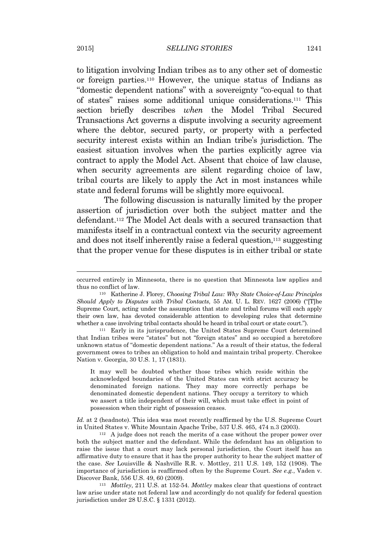to litigation involving Indian tribes as to any other set of domestic or foreign parties.<sup>110</sup> However, the unique status of Indians as "domestic dependent nations" with a sovereignty "co-equal to that of states" raises some additional unique considerations.<sup>111</sup> This section briefly describes *when* the Model Tribal Secured Transactions Act governs a dispute involving a security agreement where the debtor, secured party, or property with a perfected security interest exists within an Indian tribe's jurisdiction. The easiest situation involves when the parties explicitly agree via contract to apply the Model Act. Absent that choice of law clause, when security agreements are silent regarding choice of law, tribal courts are likely to apply the Act in most instances while state and federal forums will be slightly more equivocal.

The following discussion is naturally limited by the proper assertion of jurisdiction over both the subject matter and the defendant.<sup>112</sup> The Model Act deals with a secured transaction that manifests itself in a contractual context via the security agreement and does not itself inherently raise a federal question,<sup>113</sup> suggesting that the proper venue for these disputes is in either tribal or state

<sup>111</sup> Early in its jurisprudence, the United States Supreme Court determined that Indian tribes were "states" but not "foreign states" and so occupied a heretofore unknown status of "domestic dependent nations." As a result of their status, the federal government owes to tribes an obligation to hold and maintain tribal property. Cherokee Nation v. Georgia, 30 U.S. 1, 17 (1831).

It may well be doubted whether those tribes which reside within the acknowledged boundaries of the United States can with strict accuracy be denominated foreign nations. They may more correctly perhaps be denominated domestic dependent nations. They occupy a territory to which we assert a title independent of their will, which must take effect in point of possession when their right of possession ceases.

*Id.* at 2 (headnote). This idea was most recently reaffirmed by the U.S. Supreme Court in United States v. White Mountain Apache Tribe, 537 U.S. 465, 474 n.3 (2003).

<sup>112</sup> A judge does not reach the merits of a case without the proper power over both the subject matter and the defendant. While the defendant has an obligation to raise the issue that a court may lack personal jurisdiction, the Court itself has an affirmative duty to ensure that it has the proper authority to hear the subject matter of the case. *See* Louisville & Nashville R.R. v. Mottley, 211 U.S. 149, 152 (1908). The importance of jurisdiction is reaffirmed often by the Supreme Court. *See e.g.*, Vaden v. Discover Bank, 556 U.S. 49, 60 (2009).

<sup>113</sup> *Mottley*, 211 U.S. at 152-54. *Mottley* makes clear that questions of contract law arise under state not federal law and accordingly do not qualify for federal question jurisdiction under 28 U.S.C. § 1331 (2012).

occurred entirely in Minnesota, there is no question that Minnesota law applies and thus no conflict of law.

<sup>110</sup> Katherine J. Florey, *Choosing Tribal Law: Why State Choice-of-Law Principles Should Apply to Disputes with Tribal Contacts*, 55 AM. U. L. REV. 1627 (2006) ("[T]he Supreme Court, acting under the assumption that state and tribal forums will each apply their own law, has devoted considerable attention to developing rules that determine whether a case involving tribal contacts should be heard in tribal court or state court.").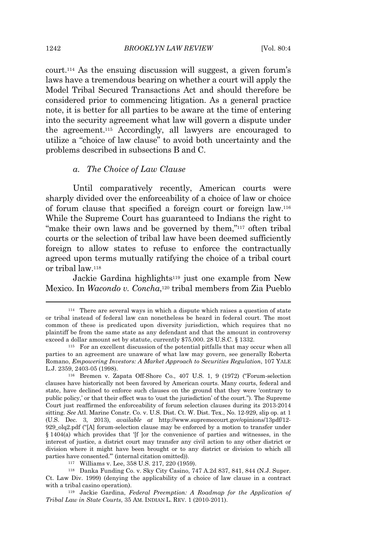court.<sup>114</sup> As the ensuing discussion will suggest, a given forum's laws have a tremendous bearing on whether a court will apply the Model Tribal Secured Transactions Act and should therefore be considered prior to commencing litigation. As a general practice note, it is better for all parties to be aware at the time of entering into the security agreement what law will govern a dispute under the agreement.<sup>115</sup> Accordingly, all lawyers are encouraged to utilize a "choice of law clause" to avoid both uncertainty and the problems described in subsections B and C.

#### *a. The Choice of Law Clause*

Until comparatively recently, American courts were sharply divided over the enforceability of a choice of law or choice of forum clause that specified a foreign court or foreign law.<sup>116</sup> While the Supreme Court has guaranteed to Indians the right to "make their own laws and be governed by them,"<sup>117</sup> often tribal courts or the selection of tribal law have been deemed sufficiently foreign to allow states to refuse to enforce the contractually agreed upon terms mutually ratifying the choice of a tribal court or tribal law.<sup>118</sup>

Jackie Gardina highlights<sup>119</sup> just one example from New Mexico. In *Wacondo v. Concha*, <sup>120</sup> tribal members from Zia Pueblo

<sup>117</sup> Williams v. Lee, 358 U.S. 217, 220 (1959).

<sup>118</sup> Danka Funding Co. v. Sky City Casino, 747 A.2d 837, 841, 844 (N.J. Super. Ct. Law Div. 1999) (denying the applicability of a choice of law clause in a contract with a tribal casino operation).

<sup>119</sup> Jackie Gardina, *Federal Preemption: A Roadmap for the Application of Tribal Law in State Courts*, 35 AM. INDIAN L. REV. 1 (2010-2011).

<sup>114</sup> There are several ways in which a dispute which raises a question of state or tribal instead of federal law can nonetheless be heard in federal court. The most common of these is predicated upon diversity jurisdiction, which requires that no plaintiff be from the same state as any defendant and that the amount in controversy exceed a dollar amount set by statute, currently \$75,000. 28 U.S.C. § 1332.

<sup>115</sup> For an excellent discussion of the potential pitfalls that may occur when all parties to an agreement are unaware of what law may govern, see generally Roberta Romano, *Empowering Investors: A Market Approach to Securities Regulation*, 107 YALE L.J. 2359, 2403-05 (1998).

<sup>116</sup> Bremen v. Zapata Off-Shore Co., 407 U.S. 1, 9 (1972) ("Forum-selection clauses have historically not been favored by American courts. Many courts, federal and state, have declined to enforce such clauses on the ground that they were 'contrary to public policy,' or that their effect was to 'oust the jurisdiction' of the court."). The Supreme Court just reaffirmed the enforceability of forum selection clauses during its 2013-2014 sitting. *See* Atl. Marine Constr. Co. v. U.S. Dist. Ct. W. Dist. Tex., No. 12-929, slip op. at 1 (U.S. Dec. 3, 2013), *available at* http://www.supremecourt.gov/opinions/13pdf/12- 929\_olq2.pdf ("[A] forum-selection clause may be enforced by a motion to transfer under § 1404(a) which provides that '[f ]or the convenience of parties and witnesses, in the interest of justice, a district court may transfer any civil action to any other district or division where it might have been brought or to any district or division to which all parties have consented.'" (internal citation omitted)).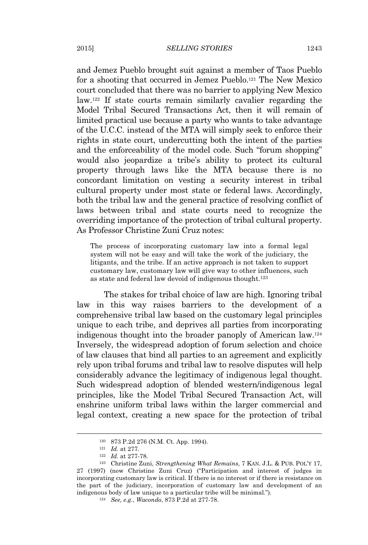and Jemez Pueblo brought suit against a member of Taos Pueblo for a shooting that occurred in Jemez Pueblo.<sup>121</sup> The New Mexico court concluded that there was no barrier to applying New Mexico law.<sup>122</sup> If state courts remain similarly cavalier regarding the Model Tribal Secured Transactions Act, then it will remain of limited practical use because a party who wants to take advantage of the U.C.C. instead of the MTA will simply seek to enforce their rights in state court, undercutting both the intent of the parties and the enforceability of the model code. Such "forum shopping" would also jeopardize a tribe's ability to protect its cultural property through laws like the MTA because there is no concordant limitation on vesting a security interest in tribal cultural property under most state or federal laws. Accordingly, both the tribal law and the general practice of resolving conflict of laws between tribal and state courts need to recognize the overriding importance of the protection of tribal cultural property. As Professor Christine Zuni Cruz notes:

The process of incorporating customary law into a formal legal system will not be easy and will take the work of the judiciary, the litigants, and the tribe. If an active approach is not taken to support customary law, customary law will give way to other influences, such as state and federal law devoid of indigenous thought.<sup>123</sup>

The stakes for tribal choice of law are high. Ignoring tribal law in this way raises barriers to the development of a comprehensive tribal law based on the customary legal principles unique to each tribe, and deprives all parties from incorporating indigenous thought into the broader panoply of American law.<sup>124</sup> Inversely, the widespread adoption of forum selection and choice of law clauses that bind all parties to an agreement and explicitly rely upon tribal forums and tribal law to resolve disputes will help considerably advance the legitimacy of indigenous legal thought. Such widespread adoption of blended western/indigenous legal principles, like the Model Tribal Secured Transaction Act, will enshrine uniform tribal laws within the larger commercial and legal context, creating a new space for the protection of tribal

<sup>120</sup> 873 P.2d 276 (N.M. Ct. App. 1994).

<sup>121</sup> *Id.* at 277.

<sup>122</sup> *Id.* at 277-78.

<sup>123</sup> Christine Zuni, *Strengthening What Remains*, 7 KAN. J.L. & PUB. POL'Y 17, 27 (1997) (now Christine Zuni Cruz) ("Participation and interest of judges in incorporating customary law is critical. If there is no interest or if there is resistance on the part of the judiciary, incorporation of customary law and development of an indigenous body of law unique to a particular tribe will be minimal.").

<sup>124</sup> *See, e.g.*, *Wacondo*, 873 P.2d at 277-78.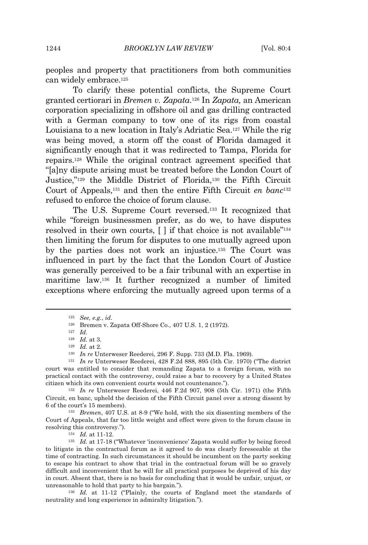peoples and property that practitioners from both communities can widely embrace.<sup>125</sup>

To clarify these potential conflicts, the Supreme Court granted certiorari in *Bremen v. Zapata*. <sup>126</sup> In *Zapata,* an American corporation specializing in offshore oil and gas drilling contracted with a German company to tow one of its rigs from coastal Louisiana to a new location in Italy's Adriatic Sea.<sup>127</sup> While the rig was being moved, a storm off the coast of Florida damaged it significantly enough that it was redirected to Tampa, Florida for repairs.<sup>128</sup> While the original contract agreement specified that "[a]ny dispute arising must be treated before the London Court of Justice," <sup>129</sup> the Middle District of Florida,<sup>130</sup> the Fifth Circuit Court of Appeals,<sup>131</sup> and then the entire Fifth Circuit *en banc*<sup>132</sup> refused to enforce the choice of forum clause.

The U.S. Supreme Court reversed.<sup>133</sup> It recognized that while "foreign businessmen prefer, as do we, to have disputes resolved in their own courts, [ ] if that choice is not available" 134 then limiting the forum for disputes to one mutually agreed upon by the parties does not work an injustice.<sup>135</sup> The Court was influenced in part by the fact that the London Court of Justice was generally perceived to be a fair tribunal with an expertise in maritime law.<sup>136</sup> It further recognized a number of limited exceptions where enforcing the mutually agreed upon terms of a

<sup>132</sup> *In re* Unterweser Reederei, 446 F.2d 907, 908 (5th Cir. 1971) (the Fifth Circuit, en banc, upheld the decision of the Fifth Circuit panel over a strong dissent by 6 of the court's 15 members).

<sup>133</sup> *Bremen*, 407 U.S. at 8-9 ("We hold, with the six dissenting members of the Court of Appeals, that far too little weight and effect were given to the forum clause in resolving this controversy.").

<sup>134</sup> *Id.* at 11-12.

<sup>135</sup> *Id.* at 17-18 ("Whatever 'inconvenience' Zapata would suffer by being forced to litigate in the contractual forum as it agreed to do was clearly foreseeable at the time of contracting. In such circumstances it should be incumbent on the party seeking to escape his contract to show that trial in the contractual forum will be so gravely difficult and inconvenient that he will for all practical purposes be deprived of his day in court. Absent that, there is no basis for concluding that it would be unfair, unjust, or unreasonable to hold that party to his bargain.").

<sup>136</sup> *Id.* at 11-12 ("Plainly, the courts of England meet the standards of neutrality and long experience in admiralty litigation.").

<sup>125</sup> *See, e.g.*, *id.*

<sup>126</sup> Bremen v. Zapata Off-Shore Co., 407 U.S. 1, 2 (1972).

<sup>127</sup> *Id.*

<sup>128</sup> *Id.* at 3.

<sup>129</sup> *Id.* at 2.

<sup>130</sup> *In re* Unterweser Reederei, 296 F. Supp. 733 (M.D. Fla. 1969).

<sup>131</sup> *In re* Unterweser Reederei, 428 F.2d 888, 895 (5th Cir. 1970) ("The district court was entitled to consider that remanding Zapata to a foreign forum, with no practical contact with the controversy, could raise a bar to recovery by a United States citizen which its own convenient courts would not countenance.").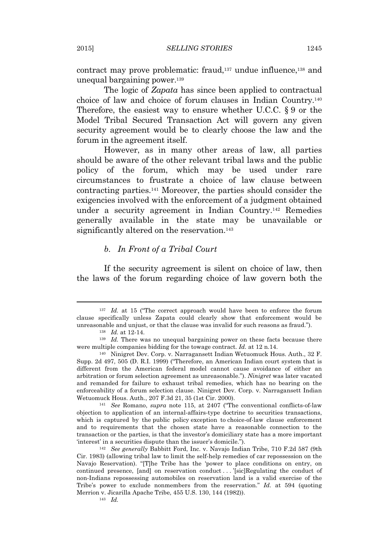contract may prove problematic: fraud,<sup>137</sup> undue influence,<sup>138</sup> and unequal bargaining power.<sup>139</sup>

The logic of *Zapata* has since been applied to contractual choice of law and choice of forum clauses in Indian Country.<sup>140</sup> Therefore, the easiest way to ensure whether U.C.C. § 9 or the Model Tribal Secured Transaction Act will govern any given security agreement would be to clearly choose the law and the forum in the agreement itself.

However, as in many other areas of law, all parties should be aware of the other relevant tribal laws and the public policy of the forum, which may be used under rare circumstances to frustrate a choice of law clause between contracting parties.<sup>141</sup> Moreover, the parties should consider the exigencies involved with the enforcement of a judgment obtained under a security agreement in Indian Country.<sup>142</sup> Remedies generally available in the state may be unavailable or significantly altered on the reservation.<sup>143</sup>

#### *b. In Front of a Tribal Court*

If the security agreement is silent on choice of law, then the laws of the forum regarding choice of law govern both the

<sup>&</sup>lt;sup>137</sup> *Id.* at 15 ("The correct approach would have been to enforce the forum clause specifically unless Zapata could clearly show that enforcement would be unreasonable and unjust, or that the clause was invalid for such reasons as fraud.").

<sup>138</sup> *Id.* at 12-14.

<sup>&</sup>lt;sup>139</sup> *Id.* There was no unequal bargaining power on these facts because there were multiple companies bidding for the towage contract. *Id.* at 12 n.14.

<sup>140</sup> Ninigret Dev. Corp. v. Narragansett Indian Wetuomuck Hous. Auth., 32 F. Supp. 2d 497, 505 (D. R.I. 1999) ("Therefore, an American Indian court system that is different from the American federal model cannot cause avoidance of either an arbitration or forum selection agreement as unreasonable."). *Ninigret* was later vacated and remanded for failure to exhaust tribal remedies, which has no bearing on the enforceability of a forum selection clause. Ninigret Dev. Corp. v. Narragansett Indian Wetuomuck Hous. Auth., 207 F.3d 21, 35 (1st Cir. 2000).

<sup>141</sup> *See* Romano, *supra* note 115, at 2407 ("The conventional conflicts-of-law objection to application of an internal-affairs-type doctrine to securities transactions, which is captured by the public policy exception to choice-of-law clause enforcement and to requirements that the chosen state have a reasonable connection to the transaction or the parties, is that the investor's domiciliary state has a more important 'interest' in a securities dispute than the issuer's domicile.").

<sup>142</sup> *See generally* Babbitt Ford, Inc. v. Navajo Indian Tribe, 710 F.2d 587 (9th Cir. 1983) (allowing tribal law to limit the self-help remedies of car repossession on the Navajo Reservation). "[T]he Tribe has the 'power to place conditions on entry, on continued presence, [and] on reservation conduct . . . '[sic]Regulating the conduct of non-Indians repossessing automobiles on reservation land is a valid exercise of the Tribe's power to exclude nonmembers from the reservation." *Id.* at 594 (quoting Merrion v. Jicarilla Apache Tribe, 455 U.S. 130, 144 (1982)).

<sup>143</sup> *Id.*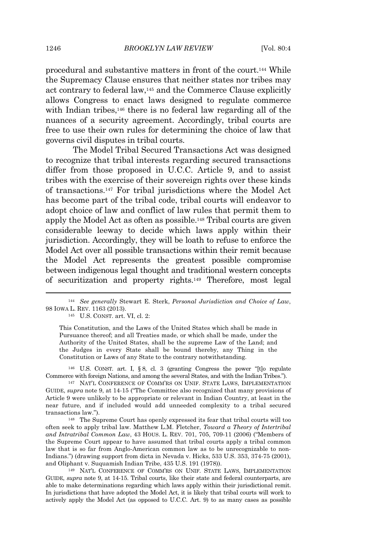procedural and substantive matters in front of the court.<sup>144</sup> While the Supremacy Clause ensures that neither states nor tribes may act contrary to federal law,<sup>145</sup> and the Commerce Clause explicitly allows Congress to enact laws designed to regulate commerce with Indian tribes,<sup>146</sup> there is no federal law regarding all of the nuances of a security agreement. Accordingly, tribal courts are free to use their own rules for determining the choice of law that governs civil disputes in tribal courts.

The Model Tribal Secured Transactions Act was designed to recognize that tribal interests regarding secured transactions differ from those proposed in U.C.C. Article 9, and to assist tribes with the exercise of their sovereign rights over these kinds of transactions.<sup>147</sup> For tribal jurisdictions where the Model Act has become part of the tribal code, tribal courts will endeavor to adopt choice of law and conflict of law rules that permit them to apply the Model Act as often as possible.<sup>148</sup> Tribal courts are given considerable leeway to decide which laws apply within their jurisdiction. Accordingly, they will be loath to refuse to enforce the Model Act over all possible transactions within their remit because the Model Act represents the greatest possible compromise between indigenous legal thought and traditional western concepts of securitization and property rights.<sup>149</sup> Therefore, most legal

<sup>145</sup> U.S. CONST. art. VI, cl. 2:

This Constitution, and the Laws of the United States which shall be made in Pursuance thereof; and all Treaties made, or which shall be made, under the Authority of the United States, shall be the supreme Law of the Land; and the Judges in every State shall be bound thereby, any Thing in the Constitution or Laws of any State to the contrary notwithstanding.

<sup>146</sup> U.S. CONST. art. I, § 8, cl. 3 (granting Congress the power "[t]o regulate Commerce with foreign Nations, and among the several States, and with the Indian Tribes.").

<sup>147</sup> NAT'L CONFERENCE OF COMM'RS ON UNIF. STATE LAWS, IMPLEMENTATION GUIDE, *supra* note 9, at 14-15 ("The Committee also recognized that many provisions of Article 9 were unlikely to be appropriate or relevant in Indian Country, at least in the near future, and if included would add unneeded complexity to a tribal secured transactions law.").

<sup>148</sup> The Supreme Court has openly expressed its fear that tribal courts will too often seek to apply tribal law. Matthew L.M. Fletcher, *Toward a Theory of Intertribal and Intratribal Common Law*, 43 HOUS. L. REV. 701, 705, 709-11 (2006) ("Members of the Supreme Court appear to have assumed that tribal courts apply a tribal common law that is so far from Anglo-American common law as to be unrecognizable to non-Indians.") (drawing support from dicta in Nevada v. Hicks, 533 U.S. 353, 374-75 (2001), and Oliphant v. Suquamish Indian Tribe, 435 U.S. 191 (1978)).

<sup>149</sup> NAT'L CONFERENCE OF COMM'RS ON UNIF. STATE LAWS, IMPLEMENTATION GUIDE, *supra* note 9, at 14-15. Tribal courts, like their state and federal counterparts, are able to make determinations regarding which laws apply within their jurisdictional remit. In jurisdictions that have adopted the Model Act, it is likely that tribal courts will work to actively apply the Model Act (as opposed to U.C.C. Art. 9) to as many cases as possible

<sup>144</sup> *See generally* Stewart E. Sterk, *Personal Jurisdiction and Choice of Law*, 98 IOWA L. REV. 1163 (2013).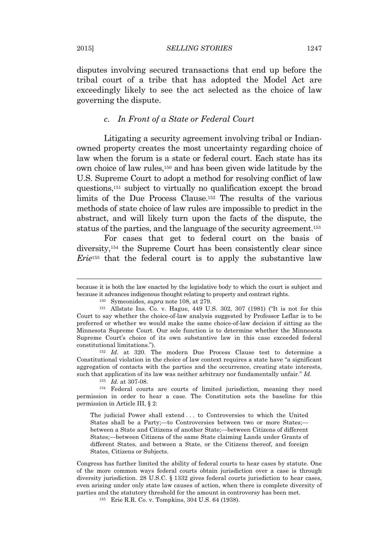disputes involving secured transactions that end up before the tribal court of a tribe that has adopted the Model Act are exceedingly likely to see the act selected as the choice of law governing the dispute.

#### *c. In Front of a State or Federal Court*

Litigating a security agreement involving tribal or Indianowned property creates the most uncertainty regarding choice of law when the forum is a state or federal court. Each state has its own choice of law rules,<sup>150</sup> and has been given wide latitude by the U.S. Supreme Court to adopt a method for resolving conflict of law questions,<sup>151</sup> subject to virtually no qualification except the broad limits of the Due Process Clause.<sup>152</sup> The results of the various methods of state choice of law rules are impossible to predict in the abstract, and will likely turn upon the facts of the dispute, the status of the parties, and the language of the security agreement.<sup>153</sup>

For cases that get to federal court on the basis of diversity,<sup>154</sup> the Supreme Court has been consistently clear since *Erie*<sup>155</sup> that the federal court is to apply the substantive law

<sup>152</sup> *Id.* at 320. The modern Due Process Clause test to determine a Constitutional violation in the choice of law context requires a state have "a significant aggregation of contacts with the parties and the occurrence, creating state interests, such that application of its law was neither arbitrary nor fundamentally unfair." *Id.*

<sup>153</sup> *Id.* at 307-08.

<sup>154</sup> Federal courts are courts of limited jurisdiction, meaning they need permission in order to hear a case. The Constitution sets the baseline for this permission in Article III, § 2:

The judicial Power shall extend . . . to Controversies to which the United States shall be a Party;—to Controversies between two or more States; between a State and Citizens of another State;—between Citizens of different States;—between Citizens of the same State claiming Lands under Grants of different States, and between a State, or the Citizens thereof, and foreign States, Citizens or Subjects.

Congress has further limited the ability of federal courts to hear cases by statute. One of the more common ways federal courts obtain jurisdiction over a case is through diversity jurisdiction. 28 U.S.C. § 1332 gives federal courts jurisdiction to hear cases, even arising under only state law causes of action, when there is complete diversity of parties and the statutory threshold for the amount in controversy has been met.

<sup>155</sup> Erie R.R. Co. v. Tompkins, 304 U.S. 64 (1938).

because it is both the law enacted by the legislative body to which the court is subject and because it advances indigenous thought relating to property and contract rights.

<sup>150</sup> Symeonides, *supra* note 108, at 279.

<sup>151</sup> Allstate Ins. Co. v. Hague, 449 U.S. 302, 307 (1981) ("It is not for this Court to say whether the choice-of-law analysis suggested by Professor Leflar is to be preferred or whether we would make the same choice-of-law decision if sitting as the Minnesota Supreme Court. Our sole function is to determine whether the Minnesota Supreme Court's choice of its own substantive law in this case exceeded federal constitutional limitations.").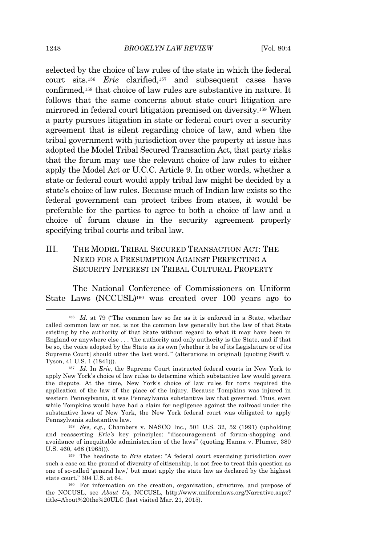selected by the choice of law rules of the state in which the federal court sits.<sup>156</sup> *Erie* clarified,<sup>157</sup> and subsequent cases have confirmed,<sup>158</sup> that choice of law rules are substantive in nature. It follows that the same concerns about state court litigation are mirrored in federal court litigation premised on diversity.<sup>159</sup> When a party pursues litigation in state or federal court over a security agreement that is silent regarding choice of law, and when the tribal government with jurisdiction over the property at issue has adopted the Model Tribal Secured Transaction Act, that party risks that the forum may use the relevant choice of law rules to either apply the Model Act or U.C.C. Article 9. In other words, whether a state or federal court would apply tribal law might be decided by a state's choice of law rules. Because much of Indian law exists so the federal government can protect tribes from states, it would be preferable for the parties to agree to both a choice of law and a choice of forum clause in the security agreement properly specifying tribal courts and tribal law.

III. THE MODEL TRIBAL SECURED TRANSACTION ACT: THE NEED FOR A PRESUMPTION AGAINST PERFECTING A SECURITY INTEREST IN TRIBAL CULTURAL PROPERTY

The National Conference of Commissioners on Uniform State Laws (NCCUSL)<sup>160</sup> was created over 100 years ago to

<sup>158</sup> *See, e.g.*, Chambers v. NASCO Inc., 501 U.S. 32, 52 (1991) (upholding and reasserting *Erie's* key principles: "discouragement of forum-shopping and avoidance of inequitable administration of the laws" (quoting Hanna v. Plumer, 380 U.S. 460, 468 (1965))).

<sup>159</sup> The headnote to *Erie* states: "A federal court exercising jurisdiction over such a case on the ground of diversity of citizenship, is not free to treat this question as one of so-called 'general law,' but must apply the state law as declared by the highest state court." 304 U.S. at 64.

<sup>156</sup> *Id.* at 79 ("The common law so far as it is enforced in a State, whether called common law or not, is not the common law generally but the law of that State existing by the authority of that State without regard to what it may have been in England or anywhere else . . . 'the authority and only authority is the State, and if that be so, the voice adopted by the State as its own [whether it be of its Legislature or of its Supreme Court] should utter the last word.'" (alterations in original) (quoting Swift v. Tyson, 41 U.S. 1 (1841))).

<sup>157</sup> *Id.* In *Erie*, the Supreme Court instructed federal courts in New York to apply New York's choice of law rules to determine which substantive law would govern the dispute. At the time, New York's choice of law rules for torts required the application of the law of the place of the injury. Because Tompkins was injured in western Pennsylvania, it was Pennsylvania substantive law that governed. Thus, even while Tompkins would have had a claim for negligence against the railroad under the substantive laws of New York, the New York federal court was obligated to apply Pennsylvania substantive law.

<sup>160</sup> For information on the creation, organization, structure, and purpose of the NCCUSL, see *About Us*, NCCUSL, http://www.uniformlaws.org/Narrative.aspx? title=About%20the%20ULC (last visited Mar. 21, 2015).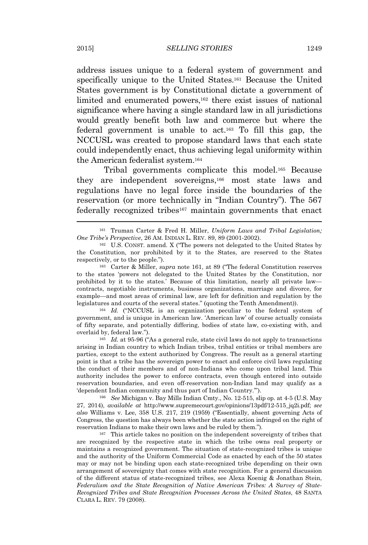address issues unique to a federal system of government and specifically unique to the United States.<sup>161</sup> Because the United States government is by Constitutional dictate a government of limited and enumerated powers,<sup>162</sup> there exist issues of national significance where having a single standard law in all jurisdictions would greatly benefit both law and commerce but where the federal government is unable to act.<sup>163</sup> To fill this gap, the NCCUSL was created to propose standard laws that each state could independently enact, thus achieving legal uniformity within the American federalist system.<sup>164</sup>

Tribal governments complicate this model.<sup>165</sup> Because they are independent sovereigns,<sup>166</sup> most state laws and regulations have no legal force inside the boundaries of the reservation (or more technically in "Indian Country"). The 567 federally recognized tribes<sup>167</sup> maintain governments that enact

<sup>164</sup> *Id.* ("NCCUSL is an organization peculiar to the federal system of government, and is unique in American law. 'American law' of course actually consists of fifty separate, and potentially differing, bodies of state law, co-existing with, and overlaid by, federal law.").

<sup>165</sup> *Id.* at 95-96 ("As a general rule, state civil laws do not apply to transactions arising in Indian country to which Indian tribes, tribal entities or tribal members are parties, except to the extent authorized by Congress. The result as a general starting point is that a tribe has the sovereign power to enact and enforce civil laws regulating the conduct of their members and of non-Indians who come upon tribal land. This authority includes the power to enforce contracts, even though entered into outside reservation boundaries, and even off-reservation non-Indian land may qualify as a 'dependent Indian community and thus part of Indian Country.'").

<sup>166</sup> *See* Michigan v. Bay Mills Indian Cmty., No. 12-515, slip op. at 4-5 (U.S. May 27, 2014), *available at* http://www.supremecourt.gov/opinions/13pdf/12-515\_jq2i.pdf; *see also* Williams v. Lee, 358 U.S. 217, 219 (1959) ("Essentially, absent governing Acts of Congress, the question has always been whether the state action infringed on the right of reservation Indians to make their own laws and be ruled by them.").

<sup>167</sup> This article takes no position on the independent sovereignty of tribes that are recognized by the respective state in which the tribe owns real property or maintains a recognized government. The situation of state-recognized tribes is unique and the authority of the Uniform Commercial Code as enacted by each of the 50 states may or may not be binding upon each state-recognized tribe depending on their own arrangement of sovereignty that comes with state recognition. For a general discussion of the different status of state-recognized tribes, see Alexa Koenig & Jonathan Stein, *Federalism and the State Recognition of Native American Tribes: A Survey of State-Recognized Tribes and State Recognition Processes Across the United States*, 48 SANTA CLARA L. REV. 79 (2008).

<sup>161</sup> Truman Carter & Fred H. Miller, *Uniform Laws and Tribal Legislation; One Tribe's Perspective*, 26 AM. INDIAN L. REV. 89, 89 (2001-2002).

<sup>162</sup> U.S. CONST. amend. X ("The powers not delegated to the United States by the Constitution, nor prohibited by it to the States, are reserved to the States respectively, or to the people.").

<sup>163</sup> Carter & Miller, *supra* note 161, at 89 ("The federal Constitution reserves to the states 'powers not delegated to the United States by the Constitution, nor prohibited by it to the states.' Because of this limitation, nearly all private law contracts, negotiable instruments, business organizations, marriage and divorce, for example—and most areas of criminal law, are left for definition and regulation by the legislatures and courts of the several states." (quoting the Tenth Amendment)).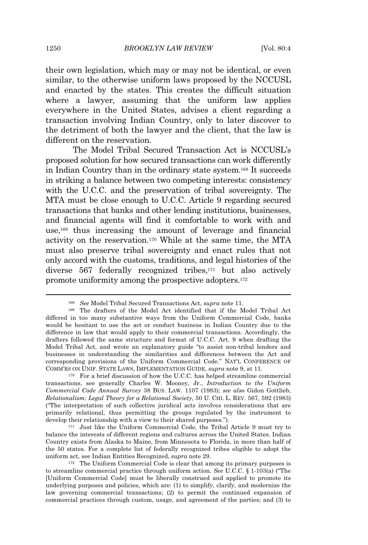their own legislation, which may or may not be identical, or even similar, to the otherwise uniform laws proposed by the NCCUSL and enacted by the states. This creates the difficult situation where a lawyer, assuming that the uniform law applies everywhere in the United States, advises a client regarding a transaction involving Indian Country, only to later discover to the detriment of both the lawyer and the client, that the law is different on the reservation.

The Model Tribal Secured Transaction Act is NCCUSL's proposed solution for how secured transactions can work differently in Indian Country than in the ordinary state system.<sup>168</sup> It succeeds in striking a balance between two competing interests: consistency with the U.C.C. and the preservation of tribal sovereignty. The MTA must be close enough to U.C.C. Article 9 regarding secured transactions that banks and other lending institutions, businesses, and financial agents will find it comfortable to work with and use,<sup>169</sup> thus increasing the amount of leverage and financial activity on the reservation.<sup>170</sup> While at the same time, the MTA must also preserve tribal sovereignty and enact rules that not only accord with the customs, traditions, and legal histories of the diverse 567 federally recognized tribes,<sup>171</sup> but also actively promote uniformity among the prospective adopters.<sup>172</sup>

<sup>170</sup> For a brief discussion of how the U.C.C. has helped streamline commercial transactions, see generally Charles W. Mooney, Jr., *Introduction to the Uniform Commercial Code Annual Survey* 38 BUS. LAW. 1107 (1983); *see also* Gidon Gottlieb, *Relationalism: Legal Theory for a Relational Society*, 50 U. CHI. L. REV. 567, 592 (1983) ("The interpretation of such collective juridical acts involves considerations that are primarily relational, thus permitting the groups regulated by the instrument to develop their relationship with a view to their shared purposes.").

<sup>171</sup> Just like the Uniform Commercial Code, the Tribal Article 9 must try to balance the interests of different regions and cultures across the United States. Indian Country exists from Alaska to Maine, from Minnesota to Florida, in more than half of the 50 states. For a complete list of federally recognized tribes eligible to adopt the uniform act, see Indian Entities Recognized, *supra* note 29.

<sup>172</sup> The Uniform Commercial Code is clear that among its primary purposes is to streamline commercial practice through uniform action. *See* U.C.C. § 1-103(a) ("The [Uniform Commercial Code] must be liberally construed and applied to promote its underlying purposes and policies, which are: (1) to simplify, clarify, and modernize the law governing commercial transactions; (2) to permit the continued expansion of commercial practices through custom, usage, and agreement of the parties; and (3) to

<sup>168</sup> *See* Model Tribal Secured Transactions Act, *supra* note 11.

<sup>169</sup> The drafters of the Model Act identified that if the Model Tribal Act differed in too many substantive ways from the Uniform Commercial Code, banks would be hesitant to use the act or conduct business in Indian Country due to the difference in law that would apply to their commercial transactions. Accordingly, the drafters followed the same structure and format of U.C.C. Art. 9 when drafting the Model Tribal Act, and wrote an explanatory guide "to assist non-tribal lenders and businesses in understanding the similarities and differences between the Act and corresponding provisions of the Uniform Commercial Code." NAT'L CONFERENCE OF COMM'RS ON UNIF. STATE LAWS, IMPLEMENTATION GUIDE, *supra* note 9, at 11*.*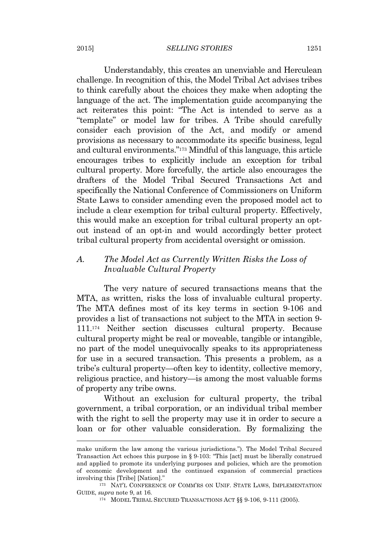#### 2015] *SELLING STORIES* 1251

Understandably, this creates an unenviable and Herculean challenge. In recognition of this, the Model Tribal Act advises tribes to think carefully about the choices they make when adopting the language of the act. The implementation guide accompanying the act reiterates this point: "The Act is intended to serve as a "template" or model law for tribes. A Tribe should carefully consider each provision of the Act, and modify or amend provisions as necessary to accommodate its specific business, legal and cultural environments." <sup>173</sup> Mindful of this language, this article encourages tribes to explicitly include an exception for tribal cultural property. More forcefully, the article also encourages the drafters of the Model Tribal Secured Transactions Act and specifically the National Conference of Commissioners on Uniform State Laws to consider amending even the proposed model act to include a clear exemption for tribal cultural property. Effectively, this would make an exception for tribal cultural property an optout instead of an opt-in and would accordingly better protect tribal cultural property from accidental oversight or omission.

## *A. The Model Act as Currently Written Risks the Loss of Invaluable Cultural Property*

The very nature of secured transactions means that the MTA, as written, risks the loss of invaluable cultural property. The MTA defines most of its key terms in section 9-106 and provides a list of transactions not subject to the MTA in section 9- 111.<sup>174</sup> Neither section discusses cultural property. Because cultural property might be real or moveable, tangible or intangible, no part of the model unequivocally speaks to its appropriateness for use in a secured transaction. This presents a problem, as a tribe's cultural property—often key to identity, collective memory, religious practice, and history—is among the most valuable forms of property any tribe owns.

Without an exclusion for cultural property, the tribal government, a tribal corporation, or an individual tribal member with the right to sell the property may use it in order to secure a loan or for other valuable consideration. By formalizing the

make uniform the law among the various jurisdictions."). The Model Tribal Secured Transaction Act echoes this purpose in § 9-103: "This [act] must be liberally construed and applied to promote its underlying purposes and policies, which are the promotion of economic development and the continued expansion of commercial practices involving this [Tribe] [Nation]."

<sup>173</sup> NAT'L CONFERENCE OF COMM'RS ON UNIF. STATE LAWS, IMPLEMENTATION GUIDE, *supra* note 9, at 16*.*

<sup>174</sup> MODEL TRIBAL SECURED TRANSACTIONS ACT §§ 9-106, 9-111 (2005).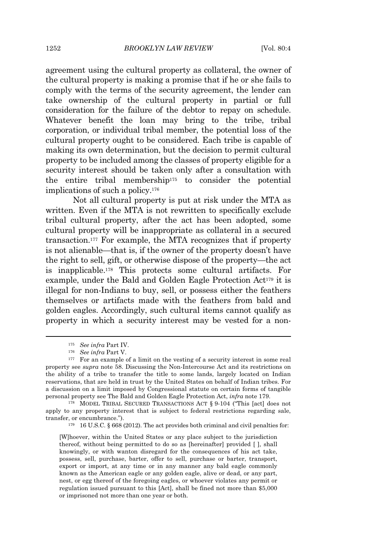agreement using the cultural property as collateral, the owner of the cultural property is making a promise that if he or she fails to comply with the terms of the security agreement, the lender can take ownership of the cultural property in partial or full consideration for the failure of the debtor to repay on schedule. Whatever benefit the loan may bring to the tribe, tribal corporation, or individual tribal member, the potential loss of the cultural property ought to be considered. Each tribe is capable of making its own determination, but the decision to permit cultural property to be included among the classes of property eligible for a security interest should be taken only after a consultation with the entire tribal membership<sup>175</sup> to consider the potential implications of such a policy.<sup>176</sup>

Not all cultural property is put at risk under the MTA as written. Even if the MTA is not rewritten to specifically exclude tribal cultural property, after the act has been adopted, some cultural property will be inappropriate as collateral in a secured transaction.<sup>177</sup> For example, the MTA recognizes that if property is not alienable—that is, if the owner of the property doesn't have the right to sell, gift, or otherwise dispose of the property—the act is inapplicable.<sup>178</sup> This protects some cultural artifacts. For example, under the Bald and Golden Eagle Protection Act<sup>179</sup> it is illegal for non-Indians to buy, sell, or possess either the feathers themselves or artifacts made with the feathers from bald and golden eagles. Accordingly, such cultural items cannot qualify as property in which a security interest may be vested for a non-

<sup>178</sup> MODEL TRIBAL SECURED TRANSACTIONS ACT § 9-104 ("This [act] does not apply to any property interest that is subject to federal restrictions regarding sale, transfer, or encumbrance.").

<sup>179</sup> 16 U.S.C. § 668 (2012). The act provides both criminal and civil penalties for:

[W]hoever, within the United States or any place subject to the jurisdiction thereof, without being permitted to do so as [hereinafter] provided [ ], shall knowingly, or with wanton disregard for the consequences of his act take, possess, sell, purchase, barter, offer to sell, purchase or barter, transport, export or import, at any time or in any manner any bald eagle commonly known as the American eagle or any golden eagle, alive or dead, or any part, nest, or egg thereof of the foregoing eagles, or whoever violates any permit or regulation issued pursuant to this [Act], shall be fined not more than \$5,000 or imprisoned not more than one year or both.

<sup>175</sup> *See infra* Part IV.

<sup>176</sup> *See infra* Part V.

<sup>&</sup>lt;sup>177</sup> For an example of a limit on the vesting of a security interest in some real property see *supra* note 58. Discussing the Non-Intercourse Act and its restrictions on the ability of a tribe to transfer the title to some lands, largely located on Indian reservations, that are held in trust by the United States on behalf of Indian tribes. For a discussion on a limit imposed by Congressional statute on certain forms of tangible personal property see The Bald and Golden Eagle Protection Act, *infra* note 179.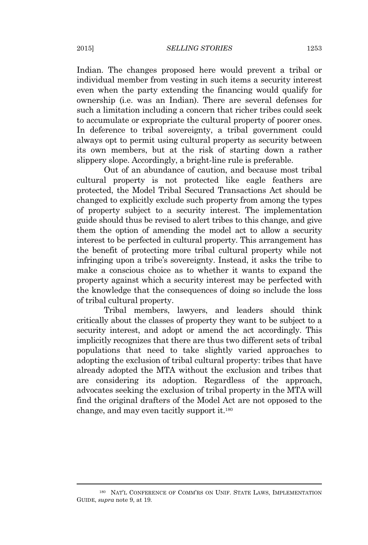Indian. The changes proposed here would prevent a tribal or individual member from vesting in such items a security interest even when the party extending the financing would qualify for ownership (i.e. was an Indian). There are several defenses for such a limitation including a concern that richer tribes could seek to accumulate or expropriate the cultural property of poorer ones. In deference to tribal sovereignty, a tribal government could always opt to permit using cultural property as security between its own members, but at the risk of starting down a rather slippery slope. Accordingly, a bright-line rule is preferable.

Out of an abundance of caution, and because most tribal cultural property is not protected like eagle feathers are protected, the Model Tribal Secured Transactions Act should be changed to explicitly exclude such property from among the types of property subject to a security interest. The implementation guide should thus be revised to alert tribes to this change, and give them the option of amending the model act to allow a security interest to be perfected in cultural property. This arrangement has the benefit of protecting more tribal cultural property while not infringing upon a tribe's sovereignty. Instead, it asks the tribe to make a conscious choice as to whether it wants to expand the property against which a security interest may be perfected with the knowledge that the consequences of doing so include the loss of tribal cultural property.

Tribal members, lawyers, and leaders should think critically about the classes of property they want to be subject to a security interest, and adopt or amend the act accordingly. This implicitly recognizes that there are thus two different sets of tribal populations that need to take slightly varied approaches to adopting the exclusion of tribal cultural property: tribes that have already adopted the MTA without the exclusion and tribes that are considering its adoption. Regardless of the approach, advocates seeking the exclusion of tribal property in the MTA will find the original drafters of the Model Act are not opposed to the change, and may even tacitly support it.<sup>180</sup>

<sup>180</sup> NAT'L CONFERENCE OF COMM'RS ON UNIF. STATE LAWS, IMPLEMENTATION GUIDE, *supra* note 9, at 19*.*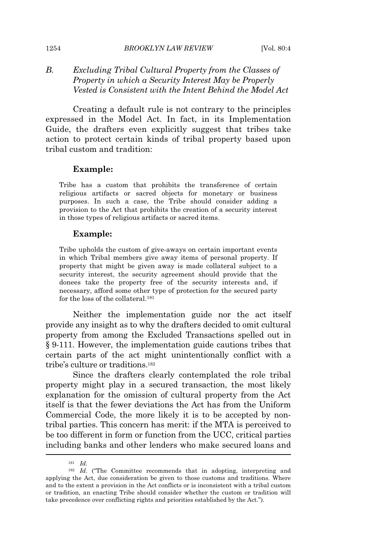## *B. Excluding Tribal Cultural Property from the Classes of Property in which a Security Interest May be Properly Vested is Consistent with the Intent Behind the Model Act*

Creating a default rule is not contrary to the principles expressed in the Model Act. In fact, in its Implementation Guide, the drafters even explicitly suggest that tribes take action to protect certain kinds of tribal property based upon tribal custom and tradition:

#### **Example:**

Tribe has a custom that prohibits the transference of certain religious artifacts or sacred objects for monetary or business purposes. In such a case, the Tribe should consider adding a provision to the Act that prohibits the creation of a security interest in those types of religious artifacts or sacred items.

#### **Example:**

Tribe upholds the custom of give-aways on certain important events in which Tribal members give away items of personal property. If property that might be given away is made collateral subject to a security interest, the security agreement should provide that the donees take the property free of the security interests and, if necessary, afford some other type of protection for the secured party for the loss of the collateral.<sup>181</sup>

Neither the implementation guide nor the act itself provide any insight as to why the drafters decided to omit cultural property from among the Excluded Transactions spelled out in § 9-111. However, the implementation guide cautions tribes that certain parts of the act might unintentionally conflict with a tribe's culture or traditions.<sup>182</sup>

Since the drafters clearly contemplated the role tribal property might play in a secured transaction, the most likely explanation for the omission of cultural property from the Act itself is that the fewer deviations the Act has from the Uniform Commercial Code, the more likely it is to be accepted by nontribal parties. This concern has merit: if the MTA is perceived to be too different in form or function from the UCC, critical parties including banks and other lenders who make secured loans and

<sup>181</sup> *Id.*

<sup>182</sup> *Id.* ("The Committee recommends that in adopting, interpreting and applying the Act, due consideration be given to those customs and traditions. Where and to the extent a provision in the Act conflicts or is inconsistent with a tribal custom or tradition, an enacting Tribe should consider whether the custom or tradition will take precedence over conflicting rights and priorities established by the Act.").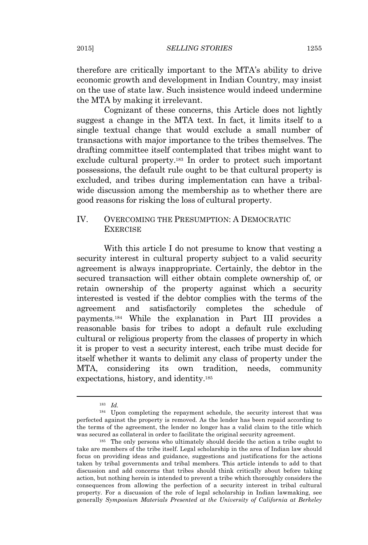therefore are critically important to the MTA's ability to drive economic growth and development in Indian Country, may insist on the use of state law. Such insistence would indeed undermine the MTA by making it irrelevant.

Cognizant of these concerns, this Article does not lightly suggest a change in the MTA text. In fact, it limits itself to a single textual change that would exclude a small number of transactions with major importance to the tribes themselves. The drafting committee itself contemplated that tribes might want to exclude cultural property.<sup>183</sup> In order to protect such important possessions, the default rule ought to be that cultural property is excluded, and tribes during implementation can have a tribalwide discussion among the membership as to whether there are good reasons for risking the loss of cultural property.

## IV. OVERCOMING THE PRESUMPTION: A DEMOCRATIC **EXERCISE**

With this article I do not presume to know that vesting a security interest in cultural property subject to a valid security agreement is always inappropriate. Certainly, the debtor in the secured transaction will either obtain complete ownership of, or retain ownership of the property against which a security interested is vested if the debtor complies with the terms of the agreement and satisfactorily completes the schedule of payments.<sup>184</sup> While the explanation in Part III provides a reasonable basis for tribes to adopt a default rule excluding cultural or religious property from the classes of property in which it is proper to vest a security interest, each tribe must decide for itself whether it wants to delimit any class of property under the MTA, considering its own tradition, needs, community expectations, history, and identity.<sup>185</sup>

<sup>183</sup> *Id.*

<sup>184</sup> Upon completing the repayment schedule, the security interest that was perfected against the property is removed. As the lender has been repaid according to the terms of the agreement, the lender no longer has a valid claim to the title which was secured as collateral in order to facilitate the original security agreement.

<sup>185</sup> The only persons who ultimately should decide the action a tribe ought to take are members of the tribe itself. Legal scholarship in the area of Indian law should focus on providing ideas and guidance, suggestions and justifications for the actions taken by tribal governments and tribal members. This article intends to add to that discussion and add concerns that tribes should think critically about before taking action, but nothing herein is intended to prevent a tribe which thoroughly considers the consequences from allowing the perfection of a security interest in tribal cultural property. For a discussion of the role of legal scholarship in Indian lawmaking, see generally *Symposium Materials Presented at the University of California at Berkeley*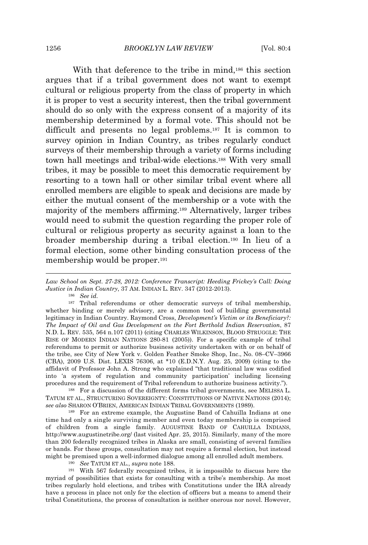With that deference to the tribe in mind,<sup>186</sup> this section argues that if a tribal government does not want to exempt cultural or religious property from the class of property in which it is proper to vest a security interest, then the tribal government should do so only with the express consent of a majority of its membership determined by a formal vote. This should not be difficult and presents no legal problems.<sup>187</sup> It is common to survey opinion in Indian Country, as tribes regularly conduct surveys of their membership through a variety of forms including town hall meetings and tribal-wide elections.<sup>188</sup> With very small tribes, it may be possible to meet this democratic requirement by resorting to a town hall or other similar tribal event where all enrolled members are eligible to speak and decisions are made by either the mutual consent of the membership or a vote with the majority of the members affirming.<sup>189</sup> Alternatively, larger tribes would need to submit the question regarding the proper role of cultural or religious property as security against a loan to the broader membership during a tribal election.<sup>190</sup> In lieu of a formal election, some other binding consultation process of the membership would be proper.<sup>191</sup>

<sup>186</sup> *See id.*

<sup>187</sup> Tribal referendums or other democratic surveys of tribal membership, whether binding or merely advisory, are a common tool of building governmental legitimacy in Indian Country. Raymond Cross, *Development's Victim or its Beneficiary?: The Impact of Oil and Gas Development on the Fort Berthold Indian Reservation*, 87 N.D. L. REV. 535, 564 n.107 (2011) (citing CHARLES WILKINSON, BLOOD STRUGGLE: THE RISE OF MODERN INDIAN NATIONS 280-81 (2005)). For a specific example of tribal referendums to permit or authorize business activity undertaken with or on behalf of the tribe, see City of New York v. Golden Feather Smoke Shop, Inc., No. 08–CV–3966 (CBA), 2009 U.S. Dist. LEXIS 76306, at \*10 (E.D.N.Y. Aug. 25, 2009) (citing to the affidavit of Professor John A. Strong who explained "that traditional law was codified into 'a system of regulation and community participation' including licensing procedures and the requirement of Tribal referendum to authorize business activity.").

<sup>188</sup> For a discussion of the different forms tribal governments, see MELISSA L. TATUM ET AL., STRUCTURING SOVEREIGNTY: CONSTITUTIONS OF NATIVE NATIONS (2014); *see also* SHARON O'BRIEN, AMERICAN INDIAN TRIBAL GOVERNMENTS (1989).

<sup>189</sup> For an extreme example, the Augustine Band of Cahuilla Indians at one time had only a single surviving member and even today membership is comprised of children from a single family. AUGUSTINE BAND OF CAHUILLA INDIANS, http://www.augustinetribe.org/ (last visited Apr. 25, 2015). Similarly, many of the more than 200 federally recognized tribes in Alaska are small, consisting of several families or bands. For these groups, consultation may not require a formal election, but instead might be premised upon a well-informed dialogue among all enrolled adult members.

<sup>190</sup> *See* TATUM ET AL., *supra* note 188.

<sup>191</sup> With 567 federally recognized tribes, it is impossible to discuss here the myriad of possibilities that exists for consulting with a tribe's membership. As most tribes regularly hold elections, and tribes with Constitutions under the IRA already have a process in place not only for the election of officers but a means to amend their tribal Constitutions, the process of consultation is neither onerous nor novel. However,

*Law School on Sept. 27-28, 2012: Conference Transcript: Heeding Frickey's Call: Doing Justice in Indian Country*, 37 AM. INDIAN L. REV. 347 (2012-2013).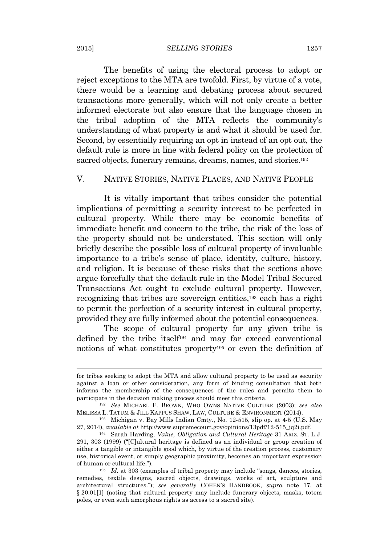#### 2015] *SELLING STORIES* 1257

The benefits of using the electoral process to adopt or reject exceptions to the MTA are twofold. First, by virtue of a vote, there would be a learning and debating process about secured transactions more generally, which will not only create a better informed electorate but also ensure that the language chosen in the tribal adoption of the MTA reflects the community's understanding of what property is and what it should be used for. Second, by essentially requiring an opt in instead of an opt out, the default rule is more in line with federal policy on the protection of sacred objects, funerary remains, dreams, names, and stories.<sup>192</sup>

## V. NATIVE STORIES, NATIVE PLACES, AND NATIVE PEOPLE

It is vitally important that tribes consider the potential implications of permitting a security interest to be perfected in cultural property. While there may be economic benefits of immediate benefit and concern to the tribe, the risk of the loss of the property should not be understated. This section will only briefly describe the possible loss of cultural property of invaluable importance to a tribe's sense of place, identity, culture, history, and religion. It is because of these risks that the sections above argue forcefully that the default rule in the Model Tribal Secured Transactions Act ought to exclude cultural property. However, recognizing that tribes are sovereign entities,<sup>193</sup> each has a right to permit the perfection of a security interest in cultural property, provided they are fully informed about the potential consequences.

The scope of cultural property for any given tribe is defined by the tribe itself<sup>194</sup> and may far exceed conventional notions of what constitutes property<sup>195</sup> or even the definition of

for tribes seeking to adopt the MTA and allow cultural property to be used as security against a loan or other consideration, any form of binding consultation that both informs the membership of the consequences of the rules and permits them to participate in the decision making process should meet this criteria.

<sup>192</sup> *See* MICHAEL F. BROWN, WHO OWNS NATIVE CULTURE (2003); *see also* MELISSA L. TATUM & JILL KAPPUS SHAW, LAW, CULTURE & ENVIRONMENT (2014).

<sup>193</sup> Michigan v. Bay Mills Indian Cmty., No. 12-515, slip op. at 4-5 (U.S. May 27, 2014), *available at* http://www.supremecourt.gov/opinions/13pdf/12-515\_jq2i.pdf.

<sup>194</sup> Sarah Harding, *Value, Obligation and Cultural Heritage* 31 ARIZ. ST. L.J. 291, 303 (1999) ("[C]ultural heritage is defined as an individual or group creation of either a tangible or intangible good which, by virtue of the creation process, customary use, historical event, or simply geographic proximity, becomes an important expression of human or cultural life.").

<sup>195</sup> *Id.* at 303 (examples of tribal property may include "songs, dances, stories, remedies, textile designs, sacred objects, drawings, works of art, sculpture and architectural structures."); *see generally* COHEN'S HANDBOOK, *supra* note 17, at § 20.01[1] (noting that cultural property may include funerary objects, masks, totem poles, or even such amorphous rights as access to a sacred site).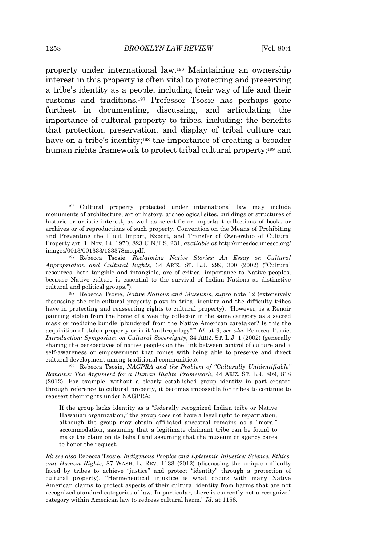property under international law.<sup>196</sup> Maintaining an ownership interest in this property is often vital to protecting and preserving a tribe's identity as a people, including their way of life and their customs and traditions.<sup>197</sup> Professor Tsosie has perhaps gone furthest in documenting, discussing, and articulating the importance of cultural property to tribes, including: the benefits that protection, preservation, and display of tribal culture can have on a tribe's identity;<sup>198</sup> the importance of creating a broader human rights framework to protect tribal cultural property;<sup>199</sup> and

<sup>199</sup> Rebecca Tsosie, *NAGPRA and the Problem of "Culturally Unidentifiable" Remains: The Argument for a Human Rights Framework*, 44 ARIZ. ST. L.J. 809, 818 (2012). For example, without a clearly established group identity in part created through reference to cultural property, it becomes impossible for tribes to continue to reassert their rights under NAGPRA:

If the group lacks identity as a "federally recognized Indian tribe or Native Hawaiian organization," the group does not have a legal right to repatriation, although the group may obtain affiliated ancestral remains as a "moral" accommodation, assuming that a legitimate claimant tribe can be found to make the claim on its behalf and assuming that the museum or agency cares to honor the request.

*Id*; *see also* Rebecca Tsosie, *Indigenous Peoples and Epistemic Injustice: Science, Ethics, and Human Rights*, 87 WASH. L. REV. 1133 (2012) (discussing the unique difficulty faced by tribes to achieve "justice" and protect "identity" through a protection of cultural property). "Hermeneutical injustice is what occurs with many Native American claims to protect aspects of their cultural identity from harms that are not recognized standard categories of law. In particular, there is currently not a recognized category within American law to redress cultural harm." *Id.* at 1158.

<sup>196</sup> Cultural property protected under international law may include monuments of architecture, art or history, archeological sites, buildings or structures of historic or artistic interest, as well as scientific or important collections of books or archives or of reproductions of such property. Convention on the Means of Prohibiting and Preventing the Illicit Import, Export, and Transfer of Ownership of Cultural Property art. 1, Nov. 14, 1970, 823 U.N.T.S. 231, *available at* http://unesdoc.unesco.org/ images/0013/001333/133378mo.pdf.

<sup>197</sup> Rebecca Tsosie, *Reclaiming Native Stories: An Essay on Cultural Appropriation and Cultural Rights*, 34 ARIZ. ST. L.J. 299, 300 (2002) ("Cultural resources, both tangible and intangible, are of critical importance to Native peoples, because Native culture is essential to the survival of Indian Nations as distinctive cultural and political groups.").

<sup>198</sup> Rebecca Tsosie, *Native Nations and Museums*, *supra* note 12 (extensively discussing the role cultural property plays in tribal identity and the difficulty tribes have in protecting and reasserting rights to cultural property). "However, is a Renoir painting stolen from the home of a wealthy collector in the same category as a sacred mask or medicine bundle 'plundered' from the Native American caretaker? Is this the acquisition of stolen property or is it 'anthropology?'" *Id.* at 9; *see also* Rebecca Tsosie, *Introduction: Symposium on Cultural Sovereignty*, 34 ARIZ. ST. L.J. 1 (2002) (generally sharing the perspectives of native peoples on the link between control of culture and a self-awareness or empowerment that comes with being able to preserve and direct cultural development among traditional communities).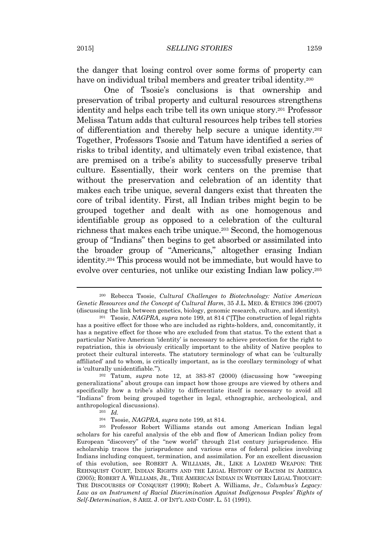the danger that losing control over some forms of property can have on individual tribal members and greater tribal identity.<sup>200</sup>

One of Tsosie's conclusions is that ownership and preservation of tribal property and cultural resources strengthens identity and helps each tribe tell its own unique story.<sup>201</sup> Professor Melissa Tatum adds that cultural resources help tribes tell stories of differentiation and thereby help secure a unique identity.<sup>202</sup> Together, Professors Tsosie and Tatum have identified a series of risks to tribal identity, and ultimately even tribal existence, that are premised on a tribe's ability to successfully preserve tribal culture. Essentially, their work centers on the premise that without the preservation and celebration of an identity that makes each tribe unique, several dangers exist that threaten the core of tribal identity. First, all Indian tribes might begin to be grouped together and dealt with as one homogenous and identifiable group as opposed to a celebration of the cultural richness that makes each tribe unique.<sup>203</sup> Second, the homogenous group of "Indians" then begins to get absorbed or assimilated into the broader group of "Americans," altogether erasing Indian identity.<sup>204</sup> This process would not be immediate, but would have to evolve over centuries, not unlike our existing Indian law policy.<sup>205</sup>

<sup>200</sup> Rebecca Tsosie, *Cultural Challenges to Biotechnology: Native American Genetic Resources and the Concept of Cultural Harm*, 35 J.L. MED. & ETHICS 396 (2007) (discussing the link between genetics, biology, genomic research, culture, and identity).

<sup>201</sup> Tsosie, *NAGPRA*, *supra* note 199, at 814 ("[T]he construction of legal rights has a positive effect for those who are included as rights-holders, and, concomitantly, it has a negative effect for those who are excluded from that status. To the extent that a particular Native American 'identity' is necessary to achieve protection for the right to repatriation, this is obviously critically important to the ability of Native peoples to protect their cultural interests. The statutory terminology of what can be 'culturally affiliated' and to whom, is critically important, as is the corollary terminology of what is 'culturally unidentifiable.'").

<sup>202</sup> Tatum, *supra* note 12, at 383-87 (2000) (discussing how "sweeping generalizations" about groups can impact how those groups are viewed by others and specifically how a tribe's ability to differentiate itself is necessary to avoid all "Indians" from being grouped together in legal, ethnographic, archeological, and anthropological discussions).

<sup>203</sup> *Id.*

<sup>204</sup> Tsosie, *NAGPRA*, *supra* note 199, at 814.

<sup>205</sup> Professor Robert Williams stands out among American Indian legal scholars for his careful analysis of the ebb and flow of American Indian policy from European "discovery" of the "new world" through 21st century jurisprudence. His scholarship traces the jurisprudence and various eras of federal policies involving Indians including conquest, termination, and assimilation. For an excellent discussion of this evolution, see ROBERT A. WILLIAMS, JR., LIKE A LOADED WEAPON: THE REHNQUIST COURT, INDIAN RIGHTS AND THE LEGAL HISTORY OF RACISM IN AMERICA (2005); ROBERT A. WILLIAMS, JR., THE AMERICAN INDIAN IN WESTERN LEGAL THOUGHT: THE DISCOURSES OF CONQUEST (1990); Robert A. Williams, Jr., *Columbus's Legacy: Law as an Instrument of Racial Discrimination Against Indigenous Peoples' Rights of Self-Determination*, 8 ARIZ. J. OF INT'L AND COMP. L. 51 (1991).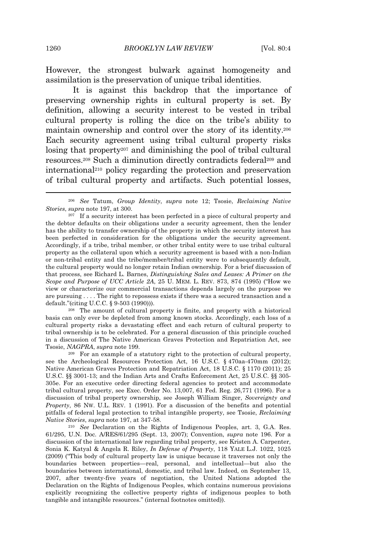However, the strongest bulwark against homogeneity and assimilation is the preservation of unique tribal identities.

It is against this backdrop that the importance of preserving ownership rights in cultural property is set. By definition, allowing a security interest to be vested in tribal cultural property is rolling the dice on the tribe's ability to maintain ownership and control over the story of its identity.<sup>206</sup> Each security agreement using tribal cultural property risks losing that property<sup>207</sup> and diminishing the pool of tribal cultural resources.<sup>208</sup> Such a diminution directly contradicts federal<sup>209</sup> and international<sup>210</sup> policy regarding the protection and preservation of tribal cultural property and artifacts. Such potential losses,

<sup>208</sup> The amount of cultural property is finite, and property with a historical basis can only ever be depleted from among known stocks. Accordingly, each loss of a cultural property risks a devastating effect and each return of cultural property to tribal ownership is to be celebrated. For a general discussion of this principle couched in a discussion of The Native American Graves Protection and Repatriation Act, see Tsosie, *NAGPRA*, *supra* note 199.

<sup>209</sup> For an example of a statutory right to the protection of cultural property, see the Archeological Resources Protection Act, 16 U.S.C. § 470aa-470mm (2012); Native American Graves Protection and Repatriation Act, 18 U.S.C. § 1170 (2011); 25 U.S.C. §§ 3001-13; and the Indian Arts and Crafts Enforcement Act, 25 U.S.C. §§ 305- 305e. For an executive order directing federal agencies to protect and accommodate tribal cultural property, see Exec. Order No. 13,007, 61 Fed. Reg. 26,771 (1996). For a discussion of tribal property ownership, see Joseph William Singer, *Sovereignty and Property*, 86 NW. U.L. REV. 1 (1991). For a discussion of the benefits and potential pitfalls of federal legal protection to tribal intangible property, see Tsosie, *Reclaiming Native Stories*, *supra* note 197, at 347-58.

<sup>210</sup> *See* Declaration on the Rights of Indigenous Peoples, art. 3, G.A. Res. 61/295, U.N. Doc. A/RES/61/295 (Sept. 13, 2007); Convention, *supra* note 196. For a discussion of the international law regarding tribal property, see Kristen A. Carpenter, Sonia K. Katyal & Angela R. Riley, *In Defense of Property*, 118 YALE L.J. 1022, 1025 (2009) ("This body of cultural property law is unique because it traverses not only the boundaries between properties—real, personal, and intellectual—but also the boundaries between international, domestic, and tribal law. Indeed, on September 13, 2007, after twenty-five years of negotiation, the United Nations adopted the Declaration on the Rights of Indigenous Peoples, which contains numerous provisions explicitly recognizing the collective property rights of indigenous peoples to both tangible and intangible resources." (internal footnotes omitted)).

<sup>206</sup> *See* Tatum, *Group Identity*, *supra* note 12; Tsosie, *Reclaiming Native Stories*, *supra* note 197, at 300.

<sup>&</sup>lt;sup>207</sup> If a security interest has been perfected in a piece of cultural property and the debtor defaults on their obligations under a security agreement, then the lender has the ability to transfer ownership of the property in which the security interest has been perfected in consideration for the obligations under the security agreement. Accordingly, if a tribe, tribal member, or other tribal entity were to use tribal cultural property as the collateral upon which a security agreement is based with a non-Indian or non-tribal entity and the tribe/member/tribal entity were to subsequently default, the cultural property would no longer retain Indian ownership. For a brief discussion of that process, see Richard L. Barnes, *Distinguishing Sales and Leases: A Primer on the Scope and Purpose of UCC Article 2A*, 25 U. MEM. L. REV. 873, 874 (1995) ("How we view or characterize our commercial transactions depends largely on the purpose we are pursuing . . . . The right to repossess exists if there was a secured transaction and a default."(citing U.C.C. § 9-503 (1990))).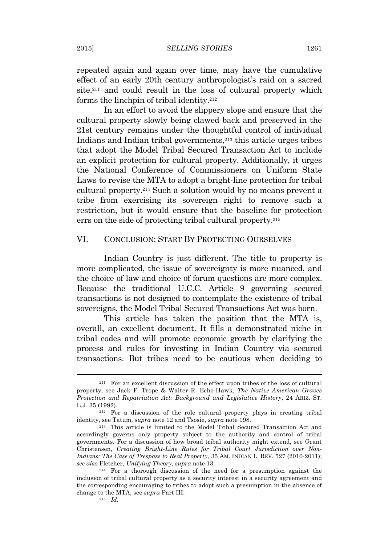repeated again and again over time, may have the cumulative effect of an early 20th century anthropologist's raid on a sacred site,<sup>211</sup> and could result in the loss of cultural property which forms the linchpin of tribal identity.<sup>212</sup>

In an effort to avoid the slippery slope and ensure that the cultural property slowly being clawed back and preserved in the 21st century remains under the thoughtful control of individual Indians and Indian tribal governments,<sup>213</sup> this article urges tribes that adopt the Model Tribal Secured Transaction Act to include an explicit protection for cultural property. Additionally, it urges the National Conference of Commissioners on Uniform State Laws to revise the MTA to adopt a bright-line protection for tribal cultural property.<sup>214</sup> Such a solution would by no means prevent a tribe from exercising its sovereign right to remove such a restriction, but it would ensure that the baseline for protection errs on the side of protecting tribal cultural property.<sup>215</sup>

## VI. CONCLUSION: START BY PROTECTING OURSELVES

Indian Country is just different. The title to property is more complicated, the issue of sovereignty is more nuanced, and the choice of law and choice of forum questions are more complex. Because the traditional U.C.C. Article 9 governing secured transactions is not designed to contemplate the existence of tribal sovereigns, the Model Tribal Secured Transactions Act was born.

This article has taken the position that the MTA is, overall, an excellent document. It fills a demonstrated niche in tribal codes and will promote economic growth by clarifying the process and rules for investing in Indian Country via secured transactions. But tribes need to be cautious when deciding to

<sup>211</sup> For an excellent discussion of the effect upon tribes of the loss of cultural property, see Jack F. Trope & Walter R. Echo-Hawk, *The Native American Graves Protection and Repatriation Act: Background and Legislative History*, 24 ARIZ. ST. L.J. 35 (1992).

<sup>&</sup>lt;sup>212</sup> For a discussion of the role cultural property plays in creating tribal identity, see Tatum, *supra* note 12 and Tsosie, *supra* note 198.

<sup>213</sup> This article is limited to the Model Tribal Secured Transaction Act and accordingly governs only property subject to the authority and control of tribal governments. For a discussion of how broad tribal authority might extend, see Grant Christensen, *Creating Bright-Line Rules for Tribal Court Jurisdiction over Non-Indians: The Case of Trespass to Real Property*, 35 AM. INDIAN L. REV. 527 (2010-2011); *see also* Fletcher, *Unifying Theory*, *supra* note 13.

<sup>214</sup> For a thorough discussion of the need for a presumption against the inclusion of tribal cultural property as a security interest in a security agreement and the corresponding encouraging to tribes to adopt such a presumption in the absence of change to the MTA, see *supra* Part III.

<sup>215</sup> *Id.*